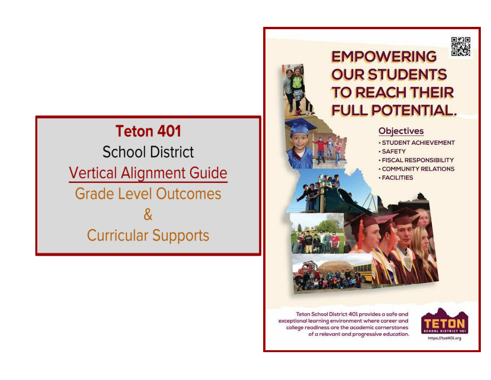## **Teton 401**

**School District Vertical Alignment Guide Grade Level Outcomes** & **Curricular Supports** 



## **EMPOWERING OUR STUDENTS TO REACH THEIR FULL POTENTIAL.**

## **Objectives**

- · STUDENT ACHIEVEMENT
- · SAFETY
- · FISCAL RESPONSIBILITY
- · COMMUNITY RELATIONS · FACILITIES



Teton School District 401 provides a safe and exceptional learning environment where career and college readiness are the academic cornerstones of a relevant and progressive education.

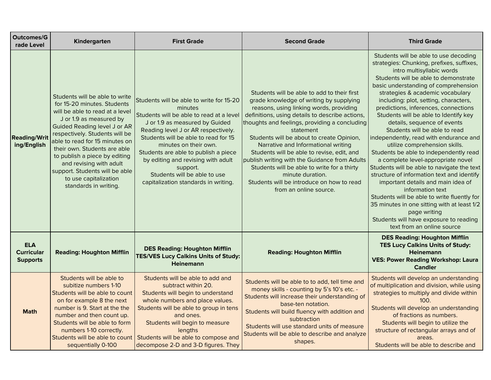| <b>Outcomes/G</b><br>rade Level                    | Kindergarten                                                                                                                                                                                                                                                                                                                                                                                                           | <b>First Grade</b>                                                                                                                                                                                                                                                                                                                                                                                          | <b>Second Grade</b>                                                                                                                                                                                                                                                                                                                                                                                                                                                                                                                                                             | <b>Third Grade</b>                                                                                                                                                                                                                                                                                                                                                                                                                                                                                                                                                                                                                                                                                                                                                                                                                                                                                                                   |
|----------------------------------------------------|------------------------------------------------------------------------------------------------------------------------------------------------------------------------------------------------------------------------------------------------------------------------------------------------------------------------------------------------------------------------------------------------------------------------|-------------------------------------------------------------------------------------------------------------------------------------------------------------------------------------------------------------------------------------------------------------------------------------------------------------------------------------------------------------------------------------------------------------|---------------------------------------------------------------------------------------------------------------------------------------------------------------------------------------------------------------------------------------------------------------------------------------------------------------------------------------------------------------------------------------------------------------------------------------------------------------------------------------------------------------------------------------------------------------------------------|--------------------------------------------------------------------------------------------------------------------------------------------------------------------------------------------------------------------------------------------------------------------------------------------------------------------------------------------------------------------------------------------------------------------------------------------------------------------------------------------------------------------------------------------------------------------------------------------------------------------------------------------------------------------------------------------------------------------------------------------------------------------------------------------------------------------------------------------------------------------------------------------------------------------------------------|
| <b>Reading/Writ</b><br>ing/English                 | Students will be able to write<br>for 15-20 minutes. Students<br>will be able to read at a level<br>J or 1.9 as measured by<br><b>Guided Reading level J or AR</b><br>respectively. Students will be<br>able to read for 15 minutes on<br>their own. Students are able<br>to publish a piece by editing<br>and revising with adult<br>support. Students will be able<br>to use capitalization<br>standards in writing. | Students will be able to write for 15-20<br>minutes<br>Students will be able to read at a level<br>J or 1.9 as measured by Guided<br>Reading level J or AR respectively.<br>Students will be able to read for 15<br>minutes on their own.<br>Students are able to publish a piece<br>by editing and revising with adult<br>support.<br>Students will be able to use<br>capitalization standards in writing. | Students will be able to add to their first<br>grade knowledge of writing by supplying<br>reasons, using linking words, providing<br>definitions, using details to describe actions,<br>thoughts and feelings, providing a concluding<br>statement<br>Students will be about to create Opinion,<br>Narrative and Informational writing<br>Students will be able to revise, edit, and<br>publish writing with the Guidance from Adults<br>Students will be able to write for a thirty<br>minute duration.<br>Students will be introduce on how to read<br>from an online source. | Students will be able to use decoding<br>strategies: Chunking, prefixes, suffixes,<br>intro multisyllabic words<br>Students will be able to demonstrate<br>basic understanding of comprehension<br>strategies & academic vocabulary<br>including: plot, setting, characters,<br>predictions, inferences, connections<br>Students will be able to Identify key<br>details, sequence of events<br>Students will be able to read<br>independently, read with endurance and<br>utilize comprehension skills.<br>Students be able to independently read<br>a complete level-appropriate novel<br>Students will be able to navigate the text<br>structure of information text and identify<br>important details and main idea of<br>information text<br>Students will be able to write fluently for<br>35 minutes in one sitting with at least 1/2<br>page writing<br>Students will have exposure to reading<br>text from an online source |
| <b>ELA</b><br><b>Curricular</b><br><b>Supports</b> | <b>Reading: Houghton Mifflin</b>                                                                                                                                                                                                                                                                                                                                                                                       | <b>DES Reading: Houghton Mifflin</b><br><b>TES/VES Lucy Calkins Units of Study:</b><br><b>Heinemann</b>                                                                                                                                                                                                                                                                                                     | <b>Reading: Houghton Mifflin</b>                                                                                                                                                                                                                                                                                                                                                                                                                                                                                                                                                | <b>DES Reading: Houghton Mifflin</b><br><b>TES Lucy Calkins Units of Study:</b><br><b>Heinemann</b><br><b>VES: Power Reading Workshop: Laura</b><br><b>Candler</b>                                                                                                                                                                                                                                                                                                                                                                                                                                                                                                                                                                                                                                                                                                                                                                   |
| <b>Math</b>                                        | Students will be able to<br>subitize numbers 1-10<br>Students will be able to count<br>on for example 8 the next<br>number is 9. Start at the the<br>number and then count up.<br>Students will be able to form<br>numbers 1-10 correctly.<br>sequentially 0-100                                                                                                                                                       | Students will be able to add and<br>subtract within 20.<br>Students will begin to understand<br>whole numbers and place values.<br>Students will be able to group in tens<br>and ones.<br>Students will begin to measure<br>lengths<br>Students will be able to count   Students will be able to compose and<br>decompose 2-D and 3-D figures. They                                                         | Students will be able to to add, tell time and<br>money skills - counting by 5's 10's etc. -<br>Students will increase their understanding of<br>base-ten notation.<br>Students will build fluency with addition and<br>subtraction<br>Students will use standard units of measure<br>Students will be able to describe and analyze<br>shapes.                                                                                                                                                                                                                                  | Students will develop an understanding<br>of multiplication and division, while using<br>strategies to multiply and divide within<br>100.<br>Students will develop an understanding<br>of fractions as numbers.<br>Students will begin to utilize the<br>structure of rectangular arrays and of<br>areas.<br>Students will be able to describe and                                                                                                                                                                                                                                                                                                                                                                                                                                                                                                                                                                                   |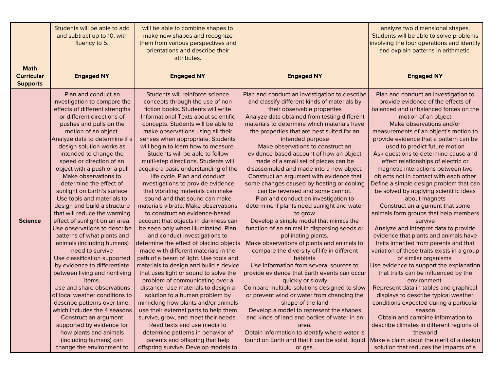|                                                     | Students will be able to add<br>and subtract up to 10, with<br>fluency to 5.                                                                                                                                                                                                                                                                                                                                                                                                                                                                                                                                                                                                                                                                                                                                                                                                                                                                                                                                                                  | will be able to combine shapes to<br>make new shapes and recognize<br>them from various perspectives and<br>orientations and describe their<br>attributes.                                                                                                                                                                                                                                                                                                                                                                                                                                                                                                                                                                                                                                                                                                                                                                                                                                                                                                                                                                                                                                                                                                                                                                                                          |                                                                                                                                                                                                                                                                                                                                                                                                                                                                                                                                                                                                                                                                                                                                                                                                                                                                                                                                                                                                                                                                                                                                                                                                                                                                                                                                                                               | analyze two dimensional shapes.<br>Students will be able to solve problems<br>involving the four operations and identify<br>and explain patterns in arithmetic.                                                                                                                                                                                                                                                                                                                                                                                                                                                                                                                                                                                                                                                                                                                                                                                                                                                                                                                                                                                                                                                                                                                         |
|-----------------------------------------------------|-----------------------------------------------------------------------------------------------------------------------------------------------------------------------------------------------------------------------------------------------------------------------------------------------------------------------------------------------------------------------------------------------------------------------------------------------------------------------------------------------------------------------------------------------------------------------------------------------------------------------------------------------------------------------------------------------------------------------------------------------------------------------------------------------------------------------------------------------------------------------------------------------------------------------------------------------------------------------------------------------------------------------------------------------|---------------------------------------------------------------------------------------------------------------------------------------------------------------------------------------------------------------------------------------------------------------------------------------------------------------------------------------------------------------------------------------------------------------------------------------------------------------------------------------------------------------------------------------------------------------------------------------------------------------------------------------------------------------------------------------------------------------------------------------------------------------------------------------------------------------------------------------------------------------------------------------------------------------------------------------------------------------------------------------------------------------------------------------------------------------------------------------------------------------------------------------------------------------------------------------------------------------------------------------------------------------------------------------------------------------------------------------------------------------------|-------------------------------------------------------------------------------------------------------------------------------------------------------------------------------------------------------------------------------------------------------------------------------------------------------------------------------------------------------------------------------------------------------------------------------------------------------------------------------------------------------------------------------------------------------------------------------------------------------------------------------------------------------------------------------------------------------------------------------------------------------------------------------------------------------------------------------------------------------------------------------------------------------------------------------------------------------------------------------------------------------------------------------------------------------------------------------------------------------------------------------------------------------------------------------------------------------------------------------------------------------------------------------------------------------------------------------------------------------------------------------|-----------------------------------------------------------------------------------------------------------------------------------------------------------------------------------------------------------------------------------------------------------------------------------------------------------------------------------------------------------------------------------------------------------------------------------------------------------------------------------------------------------------------------------------------------------------------------------------------------------------------------------------------------------------------------------------------------------------------------------------------------------------------------------------------------------------------------------------------------------------------------------------------------------------------------------------------------------------------------------------------------------------------------------------------------------------------------------------------------------------------------------------------------------------------------------------------------------------------------------------------------------------------------------------|
| <b>Math</b><br><b>Curricular</b><br><b>Supports</b> | <b>Engaged NY</b>                                                                                                                                                                                                                                                                                                                                                                                                                                                                                                                                                                                                                                                                                                                                                                                                                                                                                                                                                                                                                             | <b>Engaged NY</b>                                                                                                                                                                                                                                                                                                                                                                                                                                                                                                                                                                                                                                                                                                                                                                                                                                                                                                                                                                                                                                                                                                                                                                                                                                                                                                                                                   | <b>Engaged NY</b>                                                                                                                                                                                                                                                                                                                                                                                                                                                                                                                                                                                                                                                                                                                                                                                                                                                                                                                                                                                                                                                                                                                                                                                                                                                                                                                                                             | <b>Engaged NY</b>                                                                                                                                                                                                                                                                                                                                                                                                                                                                                                                                                                                                                                                                                                                                                                                                                                                                                                                                                                                                                                                                                                                                                                                                                                                                       |
| <b>Science</b>                                      | Plan and conduct an<br>investigation to compare the<br>effects of different strengths<br>or different directions of<br>pushes and pulls on the<br>motion of an object.<br>Analyze data to determine if a<br>design solution works as<br>intended to change the<br>speed or direction of an<br>object with a push or a pull<br>Make observations to<br>determine the effect of<br>sunlight on Earth's surface<br>Use tools and materials to<br>design and build a structure<br>that will reduce the warming<br>effect of sunlight on an area.<br>Use observations to describe<br>patterns of what plants and<br>animals (including humans)<br>need to survive<br>Use classification supported<br>by evidence to differentiate<br>between living and nonliving<br>items.<br>Use and share observations<br>of local weather conditions to<br>describe patterns over time,<br>which includes the 4 seasons<br>Construct an argument<br>supported by evidence for<br>how plants and animals<br>(including humans) can<br>change the environment to | Students will reinforce science<br>concepts through the use of non<br>fiction books. Students will write<br>Informational Texts about scientific<br>concepts. Students will be able to<br>make observations using all their<br>senses when appropriate. Students<br>will begin to learn how to measure.<br>Students will be able to follow<br>multi-step directions. Students will<br>acquire a basic understanding of the<br>life cycle. Plan and conduct<br>investigations to provide evidence<br>that vibrating materials can make<br>sound and that sound can make<br>materials vibrate. Make observations<br>to construct an evidence-based<br>account that objects in darkness can<br>be seen only when illuminated. Plan<br>and conduct investigations to<br>determine the effect of placing objects<br>made with different materials in the<br>path of a beam of light. Use tools and<br>materials to design and build a device<br>that uses light or sound to solve the<br>problem of communicating over a<br>distance. Use materials to design a<br>solution to a human problem by<br>mimicking how plants and/or animals<br>use their external parts to help them<br>survive, grow, and meet their needs.<br>Read texts and use media to<br>determine patterns in behavior of<br>parents and offspring that help<br>offspring survive. Develop models to | Plan and conduct an investigation to describe<br>and classify different kinds of materials by<br>their observable properties<br>Analyze data obtained from testing different<br>materials to determine which materials have<br>the properties that are best suited for an<br>intended purpose<br>Make observations to construct an<br>evidence-based account of how an object<br>made of a small set of pieces can be<br>disassembled and made into a new object.<br>Construct an argument with evidence that<br>some changes caused by heating or cooling<br>can be reversed and some cannot.<br>Plan and conduct an investigation to<br>determine if plants need sunlight and water<br>to grow<br>Develop a simple model that mimics the<br>function of an animal in dispersing seeds or<br>pollinating plants.<br>Make observations of plants and animals to<br>compare the diversity of life in different<br>habitats<br>Use information from several sources to<br>provide evidence that Earth events can occur<br>quickly or slowly<br>Compare multiple solutions designed to slow<br>or prevent wind or water from changing the<br>shape of the land<br>Develop a model to represent the shapes<br>and kinds of land and bodies of water in an<br>area.<br>Obtain information to identify where water is<br>found on Earth and that it can be solid, liquid<br>or gas. | Plan and conduct an investigation to<br>provide evidence of the effects of<br>balanced and unbalanced forces on the<br>motion of an object<br>Make observations and/or<br>measurements of an object's motion to<br>provide evidence that a pattern can be<br>used to predict future motion<br>Ask questions to determine cause and<br>effect relationships of electric or<br>magnetic interactions between two<br>objects not in contact with each other<br>Define a simple design problem that can<br>be solved by applying scientific ideas<br>about magnets<br>Construct an argument that some<br>animals form groups that help members<br>survive<br>Analyze and interpret data to provide<br>evidence that plants and animals have<br>traits inherited from parents and that<br>variation of these traits exists in a group<br>of similar organisms.<br>Use evidence to support the explanation<br>that traits can be influenced by the<br>environment.<br>Represent data in tables and graphical<br>displays to describe typical weather<br>conditions expected during a particular<br>season<br>Obtain and combine information to<br>describe climates in different regions of<br>theworld<br>Make a claim about the merit of a design<br>solution that reduces the impacts of a |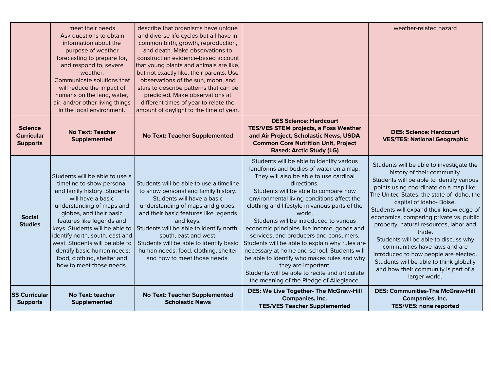|                                                        | meet their needs<br>Ask questions to obtain<br>information about the<br>purpose of weather<br>forecasting to prepare for,<br>and respond to, severe<br>weather.<br>Communicate solutions that<br>will reduce the impact of<br>humans on the land, water,<br>air, and/or other living things<br>in the local environment.                                                                               | describe that organisms have unique<br>and diverse life cycles but all have in<br>common birth, growth, reproduction,<br>and death. Make observations to<br>construct an evidence-based account<br>that young plants and animals are like,<br>but not exactly like, their parents. Use<br>observations of the sun, moon, and<br>stars to describe patterns that can be<br>predicted. Make observations at<br>different times of year to relate the<br>amount of daylight to the time of year. |                                                                                                                                                                                                                                                                                                                                                                                                                                                                                                                                                                                                                                                                                                        | weather-related hazard                                                                                                                                                                                                                                                                                                                                                                                                                                                                                                                                                                                  |
|--------------------------------------------------------|--------------------------------------------------------------------------------------------------------------------------------------------------------------------------------------------------------------------------------------------------------------------------------------------------------------------------------------------------------------------------------------------------------|-----------------------------------------------------------------------------------------------------------------------------------------------------------------------------------------------------------------------------------------------------------------------------------------------------------------------------------------------------------------------------------------------------------------------------------------------------------------------------------------------|--------------------------------------------------------------------------------------------------------------------------------------------------------------------------------------------------------------------------------------------------------------------------------------------------------------------------------------------------------------------------------------------------------------------------------------------------------------------------------------------------------------------------------------------------------------------------------------------------------------------------------------------------------------------------------------------------------|---------------------------------------------------------------------------------------------------------------------------------------------------------------------------------------------------------------------------------------------------------------------------------------------------------------------------------------------------------------------------------------------------------------------------------------------------------------------------------------------------------------------------------------------------------------------------------------------------------|
| <b>Science</b><br><b>Curricular</b><br><b>Supports</b> | <b>No Text: Teacher</b><br>Supplemented                                                                                                                                                                                                                                                                                                                                                                | <b>No Text: Teacher Supplemented</b>                                                                                                                                                                                                                                                                                                                                                                                                                                                          | <b>DES Science: Hardcourt</b><br><b>TES/VES STEM projects, a Foss Weather</b><br>and Air Project, Scholastic News, USDA<br><b>Common Core Nutrition Unit, Project</b><br><b>Based: Arctic Study (LG)</b>                                                                                                                                                                                                                                                                                                                                                                                                                                                                                               | <b>DES: Science: Hardcourt</b><br><b>VES/TES: National Geographic</b>                                                                                                                                                                                                                                                                                                                                                                                                                                                                                                                                   |
| <b>Social</b><br><b>Studies</b>                        | Students will be able to use a<br>timeline to show personal<br>and family history. Students<br>will have a basic<br>understanding of maps and<br>globes, and their basic<br>features like legends and<br>keys. Students will be able to<br>identify north, south, east and<br>west. Students will be able to<br>identify basic human needs:<br>food, clothing, shelter and<br>how to meet those needs. | Students will be able to use a timeline<br>to show personal and family history.<br>Students will have a basic<br>understanding of maps and globes,<br>and their basic features like legends<br>and keys.<br>Students will be able to identify north,<br>south, east and west.<br>Students will be able to identify basic<br>human needs: food, clothing, shelter<br>and how to meet those needs.                                                                                              | Students will be able to identify various<br>landforms and bodies of water on a map.<br>They will also be able to use cardinal<br>directions.<br>Students will be able to compare how<br>environmental living conditions affect the<br>clothing and lifestyle in various parts of the<br>world.<br>Students will be introduced to various<br>economic principles like income, goods and<br>services, and producers and consumers.<br>Students will be able to explain why rules are<br>necessary at home and school. Students will<br>be able to identify who makes rules and why<br>they are important.<br>Students will be able to recite and articulate<br>the meaning of the Pledge of Allegiance. | Students will be able to investigate the<br>history of their community.<br>Students will be able to identify various<br>points using coordinate on a map like:<br>The United States, the state of Idaho, the<br>capital of Idaho-Boise.<br>Students will expand their knowledge of<br>economics, comparing private vs. public<br>property, natural resources, labor and<br>trade.<br>Students will be able to discuss why<br>communities have laws and are<br>introduced to how people are elected.<br>Students will be able to think globally<br>and how their community is part of a<br>larger world. |
| <b>SS Curricular</b><br><b>Supports</b>                | <b>No Text: teacher</b><br>Supplemented                                                                                                                                                                                                                                                                                                                                                                | No Text: Teacher Supplemented<br><b>Scholastic News</b>                                                                                                                                                                                                                                                                                                                                                                                                                                       | <b>DES: We Live Together- The McGraw-Hill</b><br>Companies, Inc.<br><b>TES/VES Teacher Supplemented</b>                                                                                                                                                                                                                                                                                                                                                                                                                                                                                                                                                                                                | <b>DES: Communities-The McGraw-Hill</b><br>Companies, Inc.<br><b>TES/VES: none reported</b>                                                                                                                                                                                                                                                                                                                                                                                                                                                                                                             |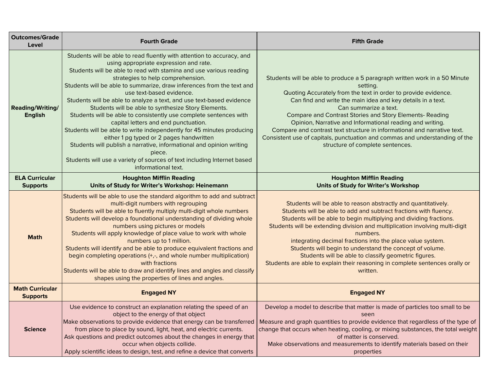| <b>Outcomes/Grade</b><br>Level            | <b>Fourth Grade</b>                                                                                                                                                                                                                                                                                                                                                                                                                                                                                                                                                                                                                                                                                                                                                                                                                                                                   | <b>Fifth Grade</b>                                                                                                                                                                                                                                                                                                                                                                                                                                                                                                                                                                  |
|-------------------------------------------|---------------------------------------------------------------------------------------------------------------------------------------------------------------------------------------------------------------------------------------------------------------------------------------------------------------------------------------------------------------------------------------------------------------------------------------------------------------------------------------------------------------------------------------------------------------------------------------------------------------------------------------------------------------------------------------------------------------------------------------------------------------------------------------------------------------------------------------------------------------------------------------|-------------------------------------------------------------------------------------------------------------------------------------------------------------------------------------------------------------------------------------------------------------------------------------------------------------------------------------------------------------------------------------------------------------------------------------------------------------------------------------------------------------------------------------------------------------------------------------|
| Reading/Writing/<br><b>English</b>        | Students will be able to read fluently with attention to accuracy, and<br>using appropriate expression and rate.<br>Students will be able to read with stamina and use various reading<br>strategies to help comprehension.<br>Students will be able to summarize, draw inferences from the text and<br>use text-based evidence.<br>Students will be able to analyze a text, and use text-based evidence<br>Students will be able to synthesize Story Elements.<br>Students will be able to consistently use complete sentences with<br>capital letters and end punctuation.<br>Students will be able to write independently for 45 minutes producing<br>either 1 pg typed or 2 pages handwritten<br>Students will publish a narrative, informational and opinion writing<br>piece.<br>Students will use a variety of sources of text including Internet based<br>informational text. | Students will be able to produce a 5 paragraph written work in a 50 Minute<br>setting.<br>Quoting Accurately from the text in order to provide evidence.<br>Can find and write the main idea and key details in a text.<br>Can summarize a text.<br><b>Compare and Contrast Stories and Story Elements- Reading</b><br>Opinion, Narrative and Informational reading and writing.<br>Compare and contrast text structure in informational and narrative text.<br>Consistent use of capitals, punctuation and commas and understanding of the<br>structure of complete sentences.     |
| <b>ELA Curricular</b><br><b>Supports</b>  | <b>Houghton Mifflin Reading</b><br>Units of Study for Writer's Workshop: Heinemann                                                                                                                                                                                                                                                                                                                                                                                                                                                                                                                                                                                                                                                                                                                                                                                                    | <b>Houghton Mifflin Reading</b><br>Units of Study for Writer's Workshop                                                                                                                                                                                                                                                                                                                                                                                                                                                                                                             |
| <b>Math</b>                               | Students will be able to use the standard algorithm to add and subtract<br>multi-digit numbers with regrouping<br>Students will be able to fluently multiply multi-digit whole numbers<br>Students will develop a foundational understanding of dividing whole<br>numbers using pictures or models<br>Students will apply knowledge of place value to work with whole<br>numbers up to 1 million.<br>Students will identify and be able to produce equivalent fractions and<br>begin completing operations (+,-, and whole number multiplication)<br>with fractions<br>Students will be able to draw and identify lines and angles and classify<br>shapes using the properties of lines and angles.                                                                                                                                                                                   | Students will be able to reason abstractly and quantitatively.<br>Students will be able to add and subtract fractions with fluency.<br>Students will be able to begin multiplying and dividing fractions.<br>Students will be extending division and multiplication involving multi-digit<br>numbers.<br>integrating decimal fractions into the place value system.<br>Students will begin to understand the concept of volume.<br>Students will be able to classify geometric figures.<br>Students are able to explain their reasoning in complete sentences orally or<br>written. |
| <b>Math Curricular</b><br><b>Supports</b> | <b>Engaged NY</b>                                                                                                                                                                                                                                                                                                                                                                                                                                                                                                                                                                                                                                                                                                                                                                                                                                                                     | <b>Engaged NY</b>                                                                                                                                                                                                                                                                                                                                                                                                                                                                                                                                                                   |
| <b>Science</b>                            | Use evidence to construct an explanation relating the speed of an<br>object to the energy of that object<br>Make observations to provide evidence that energy can be transferred<br>from place to place by sound, light, heat, and electric currents.<br>Ask questions and predict outcomes about the changes in energy that<br>occur when objects collide.<br>Apply scientific ideas to design, test, and refine a device that converts                                                                                                                                                                                                                                                                                                                                                                                                                                              | Develop a model to describe that matter is made of particles too small to be<br>seen<br>Measure and graph quantities to provide evidence that regardless of the type of<br>change that occurs when heating, cooling, or mixing substances, the total weight<br>of matter is conserved.<br>Make observations and measurements to identify materials based on their<br>properties                                                                                                                                                                                                     |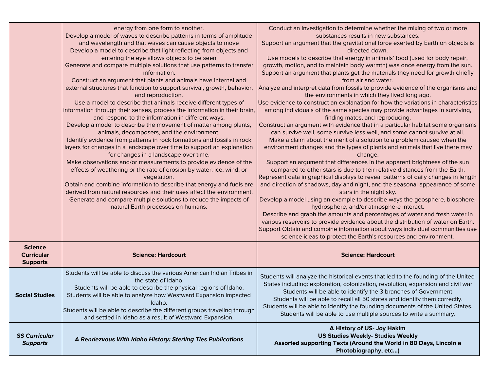|                                                        | energy from one form to another.<br>Develop a model of waves to describe patterns in terms of amplitude<br>and wavelength and that waves can cause objects to move<br>Develop a model to describe that light reflecting from objects and<br>entering the eye allows objects to be seen<br>Generate and compare multiple solutions that use patterns to transfer<br>information.<br>Construct an argument that plants and animals have internal and<br>external structures that function to support survival, growth, behavior,<br>and reproduction.<br>Use a model to describe that animals receive different types of<br>information through their senses, process the information in their brain,<br>and respond to the information in different ways.<br>Develop a model to describe the movement of matter among plants,<br>animals, decomposers, and the environment.<br>Identify evidence from patterns in rock formations and fossils in rock<br>layers for changes in a landscape over time to support an explanation<br>for changes in a landscape over time.<br>Make observations and/or measurements to provide evidence of the<br>effects of weathering or the rate of erosion by water, ice, wind, or<br>vegetation.<br>Obtain and combine information to describe that energy and fuels are<br>derived from natural resources and their uses affect the environment.<br>Generate and compare multiple solutions to reduce the impacts of<br>natural Earth processes on humans. | Conduct an investigation to determine whether the mixing of two or more<br>substances results in new substances.<br>Support an argument that the gravitational force exerted by Earth on objects is<br>directed down.<br>Use models to describe that energy in animals' food (used for body repair,<br>growth, motion, and to maintain body warmth) was once energy from the sun.<br>Support an argument that plants get the materials they need for growth chiefly<br>from air and water.<br>Analyze and interpret data from fossils to provide evidence of the organisms and<br>the environments in which they lived long ago.<br>Use evidence to construct an explanation for how the variations in characteristics<br>among individuals of the same species may provide advantages in surviving,<br>finding mates, and reproducing.<br>Construct an argument with evidence that in a particular habitat some organisms<br>can survive well, some survive less well, and some cannot survive at all.<br>Make a claim about the merit of a solution to a problem caused when the<br>environment changes and the types of plants and animals that live there may<br>change.<br>Support an argument that differences in the apparent brightness of the sun<br>compared to other stars is due to their relative distances from the Earth.<br>Represent data in graphical displays to reveal patterns of daily changes in length<br>and direction of shadows, day and night, and the seasonal appearance of some<br>stars in the night sky.<br>Develop a model using an example to describe ways the geosphere, biosphere,<br>hydrosphere, and/or atmosphere interact.<br>Describe and graph the amounts and percentages of water and fresh water in<br>various reservoirs to provide evidence about the distribution of water on Earth.<br>Support Obtain and combine information about ways individual communities use<br>science ideas to protect the Earth's resources and environment. |
|--------------------------------------------------------|----------------------------------------------------------------------------------------------------------------------------------------------------------------------------------------------------------------------------------------------------------------------------------------------------------------------------------------------------------------------------------------------------------------------------------------------------------------------------------------------------------------------------------------------------------------------------------------------------------------------------------------------------------------------------------------------------------------------------------------------------------------------------------------------------------------------------------------------------------------------------------------------------------------------------------------------------------------------------------------------------------------------------------------------------------------------------------------------------------------------------------------------------------------------------------------------------------------------------------------------------------------------------------------------------------------------------------------------------------------------------------------------------------------------------------------------------------------------------------------------|-------------------------------------------------------------------------------------------------------------------------------------------------------------------------------------------------------------------------------------------------------------------------------------------------------------------------------------------------------------------------------------------------------------------------------------------------------------------------------------------------------------------------------------------------------------------------------------------------------------------------------------------------------------------------------------------------------------------------------------------------------------------------------------------------------------------------------------------------------------------------------------------------------------------------------------------------------------------------------------------------------------------------------------------------------------------------------------------------------------------------------------------------------------------------------------------------------------------------------------------------------------------------------------------------------------------------------------------------------------------------------------------------------------------------------------------------------------------------------------------------------------------------------------------------------------------------------------------------------------------------------------------------------------------------------------------------------------------------------------------------------------------------------------------------------------------------------------------------------------------------------------------------------------------------------------------------------------------------------------------|
| <b>Science</b><br><b>Curricular</b><br><b>Supports</b> | <b>Science: Hardcourt</b>                                                                                                                                                                                                                                                                                                                                                                                                                                                                                                                                                                                                                                                                                                                                                                                                                                                                                                                                                                                                                                                                                                                                                                                                                                                                                                                                                                                                                                                                    | <b>Science: Hardcourt</b>                                                                                                                                                                                                                                                                                                                                                                                                                                                                                                                                                                                                                                                                                                                                                                                                                                                                                                                                                                                                                                                                                                                                                                                                                                                                                                                                                                                                                                                                                                                                                                                                                                                                                                                                                                                                                                                                                                                                                                 |
| <b>Social Studies</b>                                  | Students will be able to discuss the various American Indian Tribes in<br>the state of Idaho.<br>Students will be able to describe the physical regions of Idaho.<br>Students will be able to analyze how Westward Expansion impacted<br>Idaho.<br>Students will be able to describe the different groups traveling through<br>and settled in Idaho as a result of Westward Expansion.                                                                                                                                                                                                                                                                                                                                                                                                                                                                                                                                                                                                                                                                                                                                                                                                                                                                                                                                                                                                                                                                                                       | Students will analyze the historical events that led to the founding of the United<br>States including: exploration, colonization, revolution, expansion and civil war<br>Students will be able to identify the 3 branches of Government<br>Students will be able to recall all 50 states and identify them correctly.<br>Students will be able to identify the founding documents of the United States.<br>Students will be able to use multiple sources to write a summary.                                                                                                                                                                                                                                                                                                                                                                                                                                                                                                                                                                                                                                                                                                                                                                                                                                                                                                                                                                                                                                                                                                                                                                                                                                                                                                                                                                                                                                                                                                             |
| <b>SS Curricular</b><br><b>Supports</b>                | A Rendezvous With Idaho History: Sterling Ties Publications                                                                                                                                                                                                                                                                                                                                                                                                                                                                                                                                                                                                                                                                                                                                                                                                                                                                                                                                                                                                                                                                                                                                                                                                                                                                                                                                                                                                                                  | A History of US- Joy Hakim<br><b>US Studies Weekly- Studies Weekly</b><br>Assorted supporting Texts (Around the World in 80 Days, Lincoln a<br>Photobiography, etc)                                                                                                                                                                                                                                                                                                                                                                                                                                                                                                                                                                                                                                                                                                                                                                                                                                                                                                                                                                                                                                                                                                                                                                                                                                                                                                                                                                                                                                                                                                                                                                                                                                                                                                                                                                                                                       |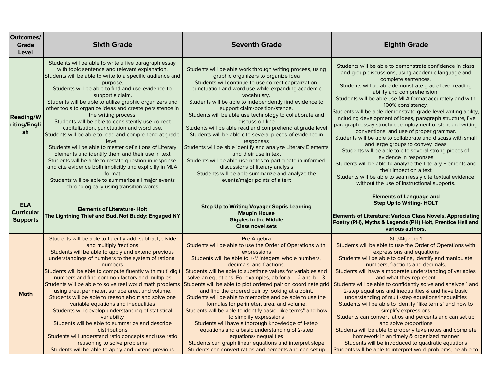| Outcomes/<br><b>Grade</b><br>Level                 | <b>Sixth Grade</b>                                                                                                                                                                                                                                                                                                                                                                                                                                                                                                                                                                                                                                                                                                                                                                                                                                                                                                        | <b>Seventh Grade</b>                                                                                                                                                                                                                                                                                                                                                                                                                                                                                                                                                                                                                                                                                                                                                                                                                                                                          | <b>Eighth Grade</b>                                                                                                                                                                                                                                                                                                                                                                                                                                                                                                                                                                                                                                                                                                                                                                                                                                                                                                                           |
|----------------------------------------------------|---------------------------------------------------------------------------------------------------------------------------------------------------------------------------------------------------------------------------------------------------------------------------------------------------------------------------------------------------------------------------------------------------------------------------------------------------------------------------------------------------------------------------------------------------------------------------------------------------------------------------------------------------------------------------------------------------------------------------------------------------------------------------------------------------------------------------------------------------------------------------------------------------------------------------|-----------------------------------------------------------------------------------------------------------------------------------------------------------------------------------------------------------------------------------------------------------------------------------------------------------------------------------------------------------------------------------------------------------------------------------------------------------------------------------------------------------------------------------------------------------------------------------------------------------------------------------------------------------------------------------------------------------------------------------------------------------------------------------------------------------------------------------------------------------------------------------------------|-----------------------------------------------------------------------------------------------------------------------------------------------------------------------------------------------------------------------------------------------------------------------------------------------------------------------------------------------------------------------------------------------------------------------------------------------------------------------------------------------------------------------------------------------------------------------------------------------------------------------------------------------------------------------------------------------------------------------------------------------------------------------------------------------------------------------------------------------------------------------------------------------------------------------------------------------|
| <b>Reading/W</b><br>riting/Engli<br>sh             | Students will be able to write a five paragraph essay<br>with topic sentence and relevant explanation.<br>Students will be able to write to a specific audience and<br>purpose.<br>Students will be able to find and use evidence to<br>support a claim.<br>Students will be able to utilize graphic organizers and<br>other tools to organize ideas and create persistence in<br>the writing process.<br>Students will be able to consistently use correct<br>capitalization, punctuation and word use.<br>Students will be able to read and comprehend at grade<br>level.<br>Students will be able to master definitions of Literary<br>Elements and identify them and their use in text<br>Students will be able to restate question in response<br>and cite evidence both implicitly and explicitly in MLA<br>format<br>Students will be able to summarize all major events<br>chronologically using transition words | Students will be able work through writing process, using<br>graphic organizers to organize idea<br>Students will continue to use correct capitalization,<br>punctuation and word use while expanding academic<br>vocabulary.<br>Students will be able to independently find evidence to<br>support claim/position/stance.<br>Students will be able use technology to collaborate and<br>discuss on-line<br>Students will be able read and comprehend at grade level<br>Students will be able cite several pieces of evidence in<br>responses<br>Students will be able identify and analyze Literary Elements<br>and their use in text<br>Students will be able use notes to participate in informed<br>discussions of literary analysis<br>Students will be able summarize and analyze the<br>events/major points of a text                                                                  | Students will be able to demonstrate confidence in class<br>and group discussions, using academic language and<br>complete sentences.<br>Students will be able demonstrate grade level reading<br>ability and comprehension.<br>Students will be able use MLA format accurately and with<br>100% consistency.<br>Students will be able demonstrate grade level writing ability,<br>including development of ideas, paragraph structure, five<br>paragraph essay structure, employment of standard writing<br>conventions, and use of proper grammar.<br>Students will be able to collaborate and discuss with small<br>and large groups to convey ideas<br>Students will be able to cite several strong pieces of<br>evidence in responses<br>Students will be able to analyze the Literary Elements and<br>their impact on a text<br>Students will be able to seamlessly cite textual evidence<br>without the use of instructional supports. |
| <b>ELA</b><br><b>Curricular</b><br><b>Supports</b> | <b>Elements of Literature- Holt</b><br>The Lightning Thief and Bud, Not Buddy: Engaged NY                                                                                                                                                                                                                                                                                                                                                                                                                                                                                                                                                                                                                                                                                                                                                                                                                                 | <b>Step Up to Writing Voyager Sopris Learning</b><br><b>Maupin House</b><br><b>Giggles in the Middle</b><br><b>Class novel sets</b>                                                                                                                                                                                                                                                                                                                                                                                                                                                                                                                                                                                                                                                                                                                                                           | <b>Elements of Language and</b><br><b>Step Up to Writing- HOLT</b><br><b>Elements of Literature; Various Class Novels, Appreciating</b><br>Poetry (PH), Myths & Legends (PH) Holt, Prentice Hall and<br>various authors.                                                                                                                                                                                                                                                                                                                                                                                                                                                                                                                                                                                                                                                                                                                      |
| <b>Math</b>                                        | Students will be able to fluently add, subtract, divide<br>and multiply fractions<br>Students will be able to apply and extend previous<br>understandings of numbers to the system of rational<br>numbers<br>Students will be able to compute fluently with multi digit<br>numbers and find common factors and multiples<br>Students will be able to solve real world math problems<br>using area, perimeter, surface area, and volume.<br>Students will be able to reason about and solve one<br>variable equations and inequalities<br>Students will develop understanding of statistical<br>variability<br>Students will be able to summarize and describe<br>distributions<br>Students will understand ratio concepts and use ratio<br>reasoning to solve problems<br>Students will be able to apply and extend previous                                                                                              | Pre-Algebra<br>Students will be able to use the Order of Operations with<br>expressions<br>Students will be able to +-*/ integers, whole numbers,<br>decimals, and fractions.<br>Students will be able to substitute values for variables and<br>solve an equations. For examples, ab for $a = -2$ and $b = 3$<br>Students will be able to plot ordered pair on coordinate grid<br>and find the ordered pair by looking at a point.<br>Students will be able to memorize and be able to use the<br>formulas for perimeter, area, and volume.<br>Students will be able to identify basic "like terms" and how<br>to simplify expressions<br>Students will have a thorough knowledge of 1-step<br>equations and a basic understanding of 2-step<br>equations/inequalities<br>Students can graph linear equations and interpret slope<br>Students can convert ratios and percents and can set up | 8th/Algebra 1<br>Students will be able to use the Order of Operations with<br>expressions and equations<br>Students will be able to define, identify and manipulate<br>numbers, fractions and decimals.<br>Students will have a moderate understanding of variables<br>and what they represent<br>Students will be able to confidently solve and analyze 1 and<br>2-step equations and inequalities & and have basic<br>understanding of multi-step equations/inequalities<br>Students will be able to identify "like terms" and how to<br>simplify expressions<br>Students can convert ratios and percents and can set up<br>and solve proportions<br>Students will be able to properly take notes and complete<br>homework in an timely & organized manner<br>Students will be introduced to quadratic equations<br>Students will be able to interpret word problems, be able to                                                            |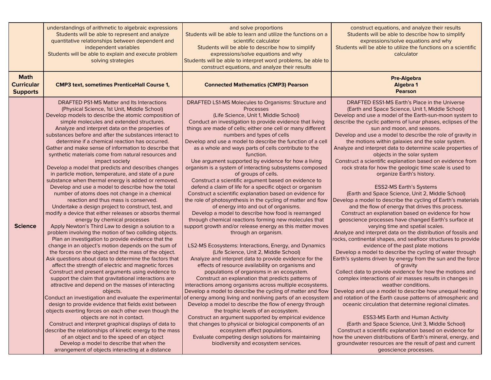|                                                     | understandings of arithmetic to algebraic expressions<br>Students will be able to represent and analyze<br>quantitative relationships between dependent and<br>independent variables<br>Students will be able to explain and execute problem<br>solving strategies                                                                                                                                                                                                                                                                                                                                                                                                                                                                                                                                                                                                                                                                                                                                                                                                                                                                                                                                                                                                                                                                                                                                                                                                                                                                                                                                                                                                                                                                                                                                                                                                                                                                                                           | and solve proportions<br>Students will be able to learn and utilize the functions on a<br>scientific calculator<br>Students will be able to describe how to simplify<br>expressions/solve equations and why<br>Students will be able to interpret word problems, be able to<br>construct equations, and analyze their results                                                                                                                                                                                                                                                                                                                                                                                                                                                                                                                                                                                                                                                                                                                                                                                                                                                                                                                                                                                                                                                                                                                                                                                                                                                                                                                                                                                                                                                                                                                                                                                                                                       | construct equations, and analyze their results<br>Students will be able to describe how to simplify<br>expressions/solve equations and why<br>Students will be able to utilize the functions on a scientific<br>calculator                                                                                                                                                                                                                                                                                                                                                                                                                                                                                                                                                                                                                                                                                                                                                                                                                                                                                                                                                                                                                                                                                                                                                                                                                                                                                                                                                                                                                                                                                                                                                                                                                                                                                                                                      |
|-----------------------------------------------------|------------------------------------------------------------------------------------------------------------------------------------------------------------------------------------------------------------------------------------------------------------------------------------------------------------------------------------------------------------------------------------------------------------------------------------------------------------------------------------------------------------------------------------------------------------------------------------------------------------------------------------------------------------------------------------------------------------------------------------------------------------------------------------------------------------------------------------------------------------------------------------------------------------------------------------------------------------------------------------------------------------------------------------------------------------------------------------------------------------------------------------------------------------------------------------------------------------------------------------------------------------------------------------------------------------------------------------------------------------------------------------------------------------------------------------------------------------------------------------------------------------------------------------------------------------------------------------------------------------------------------------------------------------------------------------------------------------------------------------------------------------------------------------------------------------------------------------------------------------------------------------------------------------------------------------------------------------------------------|---------------------------------------------------------------------------------------------------------------------------------------------------------------------------------------------------------------------------------------------------------------------------------------------------------------------------------------------------------------------------------------------------------------------------------------------------------------------------------------------------------------------------------------------------------------------------------------------------------------------------------------------------------------------------------------------------------------------------------------------------------------------------------------------------------------------------------------------------------------------------------------------------------------------------------------------------------------------------------------------------------------------------------------------------------------------------------------------------------------------------------------------------------------------------------------------------------------------------------------------------------------------------------------------------------------------------------------------------------------------------------------------------------------------------------------------------------------------------------------------------------------------------------------------------------------------------------------------------------------------------------------------------------------------------------------------------------------------------------------------------------------------------------------------------------------------------------------------------------------------------------------------------------------------------------------------------------------------|-----------------------------------------------------------------------------------------------------------------------------------------------------------------------------------------------------------------------------------------------------------------------------------------------------------------------------------------------------------------------------------------------------------------------------------------------------------------------------------------------------------------------------------------------------------------------------------------------------------------------------------------------------------------------------------------------------------------------------------------------------------------------------------------------------------------------------------------------------------------------------------------------------------------------------------------------------------------------------------------------------------------------------------------------------------------------------------------------------------------------------------------------------------------------------------------------------------------------------------------------------------------------------------------------------------------------------------------------------------------------------------------------------------------------------------------------------------------------------------------------------------------------------------------------------------------------------------------------------------------------------------------------------------------------------------------------------------------------------------------------------------------------------------------------------------------------------------------------------------------------------------------------------------------------------------------------------------------|
| <b>Math</b><br><b>Curricular</b><br><b>Supports</b> | <b>CMP3 text, sometimes PrenticeHall Course 1,</b>                                                                                                                                                                                                                                                                                                                                                                                                                                                                                                                                                                                                                                                                                                                                                                                                                                                                                                                                                                                                                                                                                                                                                                                                                                                                                                                                                                                                                                                                                                                                                                                                                                                                                                                                                                                                                                                                                                                           | <b>Connected Mathematics (CMP3) Pearson</b>                                                                                                                                                                                                                                                                                                                                                                                                                                                                                                                                                                                                                                                                                                                                                                                                                                                                                                                                                                                                                                                                                                                                                                                                                                                                                                                                                                                                                                                                                                                                                                                                                                                                                                                                                                                                                                                                                                                         | <b>Pre-Algebra</b><br><b>Algebra 1</b><br>Pearson                                                                                                                                                                                                                                                                                                                                                                                                                                                                                                                                                                                                                                                                                                                                                                                                                                                                                                                                                                                                                                                                                                                                                                                                                                                                                                                                                                                                                                                                                                                                                                                                                                                                                                                                                                                                                                                                                                               |
| <b>Science</b>                                      | DRAFTED PS1-MS Matter and Its Interactions<br>(Physical Science, 1st Unit, Middle School)<br>Develop models to describe the atomic composition of<br>simple molecules and extended structures.<br>Analyze and interpret data on the properties of<br>substances before and after the substances interact to<br>determine if a chemical reaction has occurred.<br>Gather and make sense of information to describe that<br>synthetic materials come from natural resources and<br>impact society<br>Develop a model that predicts and describes changes<br>in particle motion, temperature, and state of a pure<br>substance when thermal energy is added or removed.<br>Develop and use a model to describe how the total<br>number of atoms does not change in a chemical<br>reaction and thus mass is conserved.<br>Undertake a design project to construct, test, and<br>modify a device that either releases or absorbs thermal<br>energy by chemical processes<br>Apply Newton's Third Law to design a solution to a<br>problem involving the motion of two colliding objects.<br>Plan an investigation to provide evidence that the<br>change in an object's motion depends on the sum of<br>the forces on the object and the mass of the object.<br>Ask questions about data to determine the factors that<br>affect the strength of electric and magnetic forces<br>Construct and present arguments using evidence to<br>support the claim that gravitational interactions are<br>attractive and depend on the masses of interacting<br>objects.<br>design to provide evidence that fields exist between<br>objects exerting forces on each other even though the<br>objects are not in contact.<br>Construct and interpret graphical displays of data to<br>describe the relationships of kinetic energy to the mass<br>of an object and to the speed of an object<br>Develop a model to describe that when the<br>arrangement of objects interacting at a distance | DRAFTED LS1-MS Molecules to Organisms: Structure and<br>Processes<br>(Life Science, Unit 1, Middle School)<br>Conduct an investigation to provide evidence that living<br>things are made of cells; either one cell or many different<br>numbers and types of cells<br>Develop and use a model to describe the function of a cell<br>as a whole and ways parts of cells contribute to the<br>function.<br>Use argument supported by evidence for how a living<br>organism is a system of interacting subsystems composed<br>of groups of cells.<br>Construct a scientific argument based on evidence to<br>defend a claim of life for a specific object or organism<br>Construct a scientific explanation based on evidence for<br>the role of photosynthesis in the cycling of matter and flow<br>of energy into and out of organisms.<br>Develop a model to describe how food is rearranged<br>through chemical reactions forming new molecules that<br>support growth and/or release energy as this matter moves<br>through an organism.<br>LS2-MS Ecosystems: Interactions, Energy, and Dynamics<br>(Life Science, Unit 2, Middle School)<br>Analyze and interpret data to provide evidence for the<br>effects of resource availability on organisms and<br>populations of organisms in an ecosystem.<br>Construct an explanation that predicts patterns of<br>interactions among organisms across multiple ecosystems.<br>Develop a model to describe the cycling of matter and flow<br>Conduct an investigation and evaluate the experimental of energy among living and nonliving parts of an ecosystem<br>Develop a model to describe the flow of energy through<br>the trophic levels of an ecosystem.<br>Construct an argument supported by empirical evidence<br>that changes to physical or biological components of an<br>ecosystem affect populations.<br>Evaluate competing design solutions for maintaining<br>biodiversity and ecosystem services. | DRAFTED ESS1-MS Earth's Place in the Universe<br>(Earth and Space Science, Unit 1, Middle School)<br>Develop and use a model of the Earth-sun-moon system to<br>describe the cyclic patterns of lunar phases, eclipses of the<br>sun and moon, and seasons.<br>Develop and use a model to describe the role of gravity in<br>the motions within galaxies and the solar system.<br>Analyze and interpret data to determine scale properties of<br>objects in the solar system<br>Construct a scientific explanation based on evidence from<br>rock strata for how the geologic time scale is used to<br>organize Earth's history.<br><b>ESS2-MS Earth's Systems</b><br>(Earth and Space Science, Unit 2, Middle School)<br>Develop a model to describe the cycling of Earth's materials<br>and the flow of energy that drives this process.<br>Construct an explanation based on evidence for how<br>geoscience processes have changed Earth's surface at<br>varying time and spatial scales.<br>Analyze and interpret data on the distribution of fossils and<br>rocks, continental shapes, and seafloor structures to provide<br>evidence of the past plate motions<br>Develop a model to describe the cycling of water through<br>Earth's systems driven by energy from the sun and the force<br>of gravity<br>Collect data to provide evidence for how the motions and<br>complex interactions of air masses results in changes in<br>weather conditions.<br>Develop and use a model to describe how unequal heating<br>and rotation of the Earth cause patterns of atmospheric and<br>oceanic circulation that determine regional climates.<br><b>ESS3-MS Earth and Human Activity</b><br>(Earth and Space Science, Unit 3, Middle School)<br>Construct a scientific explanation based on evidence for<br>how the uneven distributions of Earth's mineral, energy, and<br>groundwater resources are the result of past and current<br>geoscience processes. |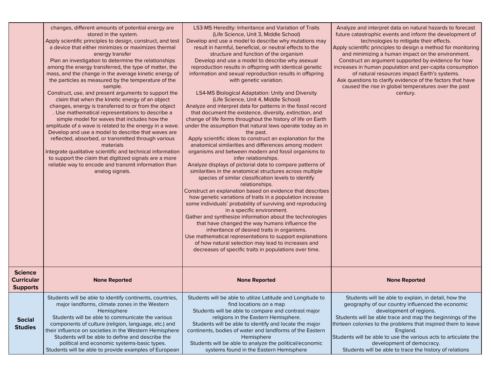|                                                        | changes, different amounts of potential energy are<br>stored in the system.<br>Apply scientific principles to design, construct, and test<br>a device that either minimizes or maximizes thermal<br>energy transfer<br>Plan an investigation to determine the relationships<br>among the energy transferred, the type of matter, the<br>mass, and the change in the average kinetic energy of<br>the particles as measured by the temperature of the<br>sample.<br>Construct, use, and present arguments to support the<br>claim that when the kinetic energy of an object<br>changes, energy is transferred to or from the object<br>. Use mathematical representations to describe a<br>simple model for waves that includes how the<br>amplitude of a wave is related to the energy in a wave.<br>Develop and use a model to describe that waves are<br>reflected, absorbed, or transmitted through various<br>materials<br>Integrate qualitative scientific and technical information<br>to support the claim that digitized signals are a more<br>reliable way to encode and transmit information than<br>analog signals. | LS3-MS Heredity: Inheritance and Variation of Traits<br>(Life Science, Unit 3, Middle School)<br>Develop and use a model to describe why mutations may<br>result in harmful, beneficial, or neutral effects to the<br>structure and function of the organism<br>Develop and use a model to describe why asexual<br>reproduction results in offspring with identical genetic<br>information and sexual reproduction results in offspring<br>with genetic variation.<br>LS4-MS Biological Adaptation: Unity and Diversity<br>(Life Science, Unit 4, Middle School)<br>Analyze and interpret data for patterns in the fossil record<br>that document the existence, diversity, extinction, and<br>change of life forms throughout the history of life on Earth<br>under the assumption that natural laws operate today as in<br>the past.<br>Apply scientific ideas to construct an explanation for the<br>anatomical similarities and differences among modern<br>organisms and between modern and fossil organisms to<br>infer relationships.<br>Analyze displays of pictorial data to compare patterns of<br>similarities in the anatomical structures across multiple<br>species of similar classification levels to identify<br>relationships.<br>Construct an explanation based on evidence that describes<br>how genetic variations of traits in a population increase<br>some individuals' probability of surviving and reproducing<br>in a specific environment.<br>Gather and synthesize information about the technologies<br>that have changed the way humans influence the<br>inheritance of desired traits in organisms.<br>Use mathematical representations to support explanations<br>of how natural selection may lead to increases and<br>decreases of specific traits in populations over time. | Analyze and interpret data on natural hazards to forecast<br>future catastrophic events and inform the development of<br>technologies to mitigate their effects.<br>Apply scientific principles to design a method for monitoring<br>and minimizing a human impact on the environment.<br>Construct an argument supported by evidence for how<br>increases in human population and per-capita consumption<br>of natural resources impact Earth's systems.<br>Ask questions to clarify evidence of the factors that have<br>caused the rise in global temperatures over the past<br>century. |
|--------------------------------------------------------|--------------------------------------------------------------------------------------------------------------------------------------------------------------------------------------------------------------------------------------------------------------------------------------------------------------------------------------------------------------------------------------------------------------------------------------------------------------------------------------------------------------------------------------------------------------------------------------------------------------------------------------------------------------------------------------------------------------------------------------------------------------------------------------------------------------------------------------------------------------------------------------------------------------------------------------------------------------------------------------------------------------------------------------------------------------------------------------------------------------------------------|-----------------------------------------------------------------------------------------------------------------------------------------------------------------------------------------------------------------------------------------------------------------------------------------------------------------------------------------------------------------------------------------------------------------------------------------------------------------------------------------------------------------------------------------------------------------------------------------------------------------------------------------------------------------------------------------------------------------------------------------------------------------------------------------------------------------------------------------------------------------------------------------------------------------------------------------------------------------------------------------------------------------------------------------------------------------------------------------------------------------------------------------------------------------------------------------------------------------------------------------------------------------------------------------------------------------------------------------------------------------------------------------------------------------------------------------------------------------------------------------------------------------------------------------------------------------------------------------------------------------------------------------------------------------------------------------------------------------------------------------------------------------------------------------------------------------|---------------------------------------------------------------------------------------------------------------------------------------------------------------------------------------------------------------------------------------------------------------------------------------------------------------------------------------------------------------------------------------------------------------------------------------------------------------------------------------------------------------------------------------------------------------------------------------------|
| <b>Science</b><br><b>Curricular</b><br><b>Supports</b> | <b>None Reported</b>                                                                                                                                                                                                                                                                                                                                                                                                                                                                                                                                                                                                                                                                                                                                                                                                                                                                                                                                                                                                                                                                                                           | <b>None Reported</b>                                                                                                                                                                                                                                                                                                                                                                                                                                                                                                                                                                                                                                                                                                                                                                                                                                                                                                                                                                                                                                                                                                                                                                                                                                                                                                                                                                                                                                                                                                                                                                                                                                                                                                                                                                                            | <b>None Reported</b>                                                                                                                                                                                                                                                                                                                                                                                                                                                                                                                                                                        |
| <b>Social</b><br><b>Studies</b>                        | Students will be able to identify continents, countries,<br>major landforms, climate zones in the Western<br>Hemisphere<br>Students will be able to communicate the various<br>components of culture (religion, language, etc.) and<br>their influence on societies in the Western Hemisphere<br>Students will be able to define and describe the<br>political and economic systems-basic types.<br>Students will be able to provide examples of European                                                                                                                                                                                                                                                                                                                                                                                                                                                                                                                                                                                                                                                                      | Students will be able to utilize Latitude and Longitude to<br>find locations on a map<br>Students will be able to compare and contrast major<br>religions in the Eastern Hemisphere.<br>Students will be able to identify and locate the major<br>continents, bodies of water and landforms of the Eastern<br>Hemisphere<br>Students will be able to analyze the political/economic<br>systems found in the Eastern Hemisphere                                                                                                                                                                                                                                                                                                                                                                                                                                                                                                                                                                                                                                                                                                                                                                                                                                                                                                                                                                                                                                                                                                                                                                                                                                                                                                                                                                                  | Students will be able to explain, in detail, how the<br>geography of our country influenced the economic<br>development of regions.<br>Students will be able trace and map the beginnings of the<br>thirteen colonies to the problems that inspired them to leave<br>England.<br>Students will be able to use the various acts to articulate the<br>development of democracy.<br>Students will be able to trace the history of relations                                                                                                                                                    |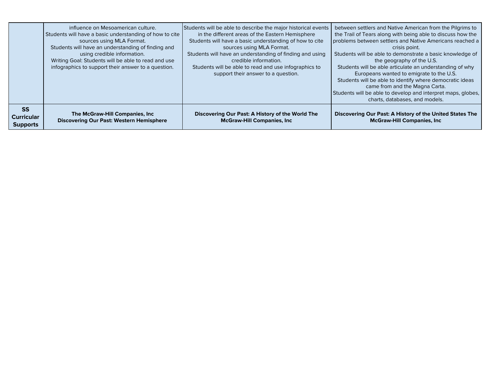|                                                   | influence on Mesoamerican culture.<br>Students will have a basic understanding of how to cite<br>sources using MLA Format.<br>Students will have an understanding of finding and<br>using credible information.<br>Writing Goal: Students will be able to read and use<br>infographics to support their answer to a question. | Students will be able to describe the major historical events<br>in the different areas of the Eastern Hemisphere<br>Students will have a basic understanding of how to cite<br>sources using MLA Format.<br>Students will have an understanding of finding and using<br>credible information.<br>Students will be able to read and use infographics to<br>support their answer to a question. | between settlers and Native American from the Pilgrims to<br>the Trail of Tears along with being able to discuss how the<br>problems between settlers and Native Americans reached a<br>crisis point.<br>Students will be able to demonstrate a basic knowledge of<br>the geography of the U.S.<br>Students will be able articulate an understanding of why<br>Europeans wanted to emigrate to the U.S.<br>Students will be able to identify where democratic ideas<br>came from and the Magna Carta.<br>Students will be able to develop and interpret maps, globes,<br>charts, databases, and models. |
|---------------------------------------------------|-------------------------------------------------------------------------------------------------------------------------------------------------------------------------------------------------------------------------------------------------------------------------------------------------------------------------------|------------------------------------------------------------------------------------------------------------------------------------------------------------------------------------------------------------------------------------------------------------------------------------------------------------------------------------------------------------------------------------------------|---------------------------------------------------------------------------------------------------------------------------------------------------------------------------------------------------------------------------------------------------------------------------------------------------------------------------------------------------------------------------------------------------------------------------------------------------------------------------------------------------------------------------------------------------------------------------------------------------------|
| <b>SS</b><br><b>Curricular</b><br><b>Supports</b> | The McGraw-Hill Companies, Inc.<br><b>Discovering Our Past: Western Hemisphere</b>                                                                                                                                                                                                                                            | Discovering Our Past: A History of the World The<br><b>McGraw-Hill Companies, Inc.</b>                                                                                                                                                                                                                                                                                                         | Discovering Our Past: A History of the United States The<br><b>McGraw-Hill Companies, Inc.</b>                                                                                                                                                                                                                                                                                                                                                                                                                                                                                                          |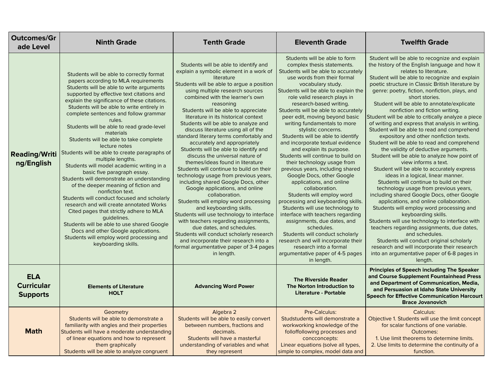| <b>Outcomes/Gr</b><br>ade Level                    | <b>Ninth Grade</b>                                                                                                                                                                                                                                                                                                                                                                                                                                                                                                                                                                                                                                                                                                                                                                                                                                                                                                                                                                                                        | <b>Tenth Grade</b>                                                                                                                                                                                                                                                                                                                                                                                                                                                                                                                                                                                                                                                                                                                                                                                                                                                                                                                                                                                                                                                                                          | <b>Eleventh Grade</b>                                                                                                                                                                                                                                                                                                                                                                                                                                                                                                                                                                                                                                                                                                                                                                                                                                                                                                                                                                                                            | <b>Twelfth Grade</b>                                                                                                                                                                                                                                                                                                                                                                                                                                                                                                                                                                                                                                                                                                                                                                                                                                                                                                                                                                                                                                                                                                                                                                                                                                                                                                                                                |
|----------------------------------------------------|---------------------------------------------------------------------------------------------------------------------------------------------------------------------------------------------------------------------------------------------------------------------------------------------------------------------------------------------------------------------------------------------------------------------------------------------------------------------------------------------------------------------------------------------------------------------------------------------------------------------------------------------------------------------------------------------------------------------------------------------------------------------------------------------------------------------------------------------------------------------------------------------------------------------------------------------------------------------------------------------------------------------------|-------------------------------------------------------------------------------------------------------------------------------------------------------------------------------------------------------------------------------------------------------------------------------------------------------------------------------------------------------------------------------------------------------------------------------------------------------------------------------------------------------------------------------------------------------------------------------------------------------------------------------------------------------------------------------------------------------------------------------------------------------------------------------------------------------------------------------------------------------------------------------------------------------------------------------------------------------------------------------------------------------------------------------------------------------------------------------------------------------------|----------------------------------------------------------------------------------------------------------------------------------------------------------------------------------------------------------------------------------------------------------------------------------------------------------------------------------------------------------------------------------------------------------------------------------------------------------------------------------------------------------------------------------------------------------------------------------------------------------------------------------------------------------------------------------------------------------------------------------------------------------------------------------------------------------------------------------------------------------------------------------------------------------------------------------------------------------------------------------------------------------------------------------|---------------------------------------------------------------------------------------------------------------------------------------------------------------------------------------------------------------------------------------------------------------------------------------------------------------------------------------------------------------------------------------------------------------------------------------------------------------------------------------------------------------------------------------------------------------------------------------------------------------------------------------------------------------------------------------------------------------------------------------------------------------------------------------------------------------------------------------------------------------------------------------------------------------------------------------------------------------------------------------------------------------------------------------------------------------------------------------------------------------------------------------------------------------------------------------------------------------------------------------------------------------------------------------------------------------------------------------------------------------------|
| <b>Reading/Writi</b><br>ng/English                 | Students will be able to correctly format<br>papers according to MLA requirements<br>Students will be able to write arguments<br>supported by effective text citations and<br>explain the significance of these citations.<br>Students will be able to write entirely in<br>complete sentences and follow grammar<br>rules.<br>Students will be able to read grade-level<br>materials<br>Students will be able to take complete<br>lecture notes<br>Students will be able to create paragraphs of<br>multiple lengths.<br>Students will model academic writing in a<br>basic five paragraph essay.<br>Students will demonstrate an understanding<br>of the deeper meaning of fiction and<br>nonfiction text.<br>Students will conduct focused and scholarly<br>research and will create annotated Works<br>Cited pages that strictly adhere to MLA<br>quidelines.<br>Students will be able to use shared Google<br>Docs and other Google applications.<br>Students will employ word processing and<br>keyboarding skills. | Students will be able to identify and<br>explain a symbolic element in a work of<br>literature<br>Students will be able to argue a position<br>using multiple research sources<br>combined with the learner's own<br>reasoning<br>Students will be able to appreciate<br>literature in its historical context<br>Students will be able to analyze and<br>discuss literature using all of the<br>standard literary terms comfortably and<br>accurately and appropriately<br>Students will be able to identify and<br>discuss the universal nature of<br>themes/ideas found in literature<br>Students will continue to build on their<br>technology usage from previous years,<br>including shared Google Docs, other<br>Google applications, and online<br>collaboration.<br>Students will employ word processing<br>and keyboarding skills.<br>Students will use technology to interface<br>with teachers regarding assignments,<br>due dates, and schedules.<br>Students will conduct scholarly research<br>and incorporate their research into a<br>formal argumentative paper of 3-4 pages<br>in length. | Students will be able to form<br>complex thesis statements.<br>Students will be able to accurately<br>use words from their formal<br>vocabulary study.<br>Students will be able to explain the<br>role valid research plays in<br>research-based writing.<br>Students will be able to accurately<br>peer edit, moving beyond basic<br>writing fundamentals to more<br>stylistic concerns.<br>Students will be able to identify<br>and incorporate textual evidence<br>and explain its purpose.<br>Students will continue to build on<br>their technology usage from<br>previous years, including shared<br>Google Docs, other Google<br>applications, and online<br>collaboration.<br>Students will employ word<br>processing and keyboarding skills.<br>Students will use technology to<br>interface with teachers regarding<br>assignments, due dates, and<br>schedules.<br>Students will conduct scholarly<br>research and will incorporate their<br>research into a formal<br>argumentative paper of 4-5 pages<br>in length. | Student will be able to recognize and explain<br>the history of the English language and how it<br>relates to literature.<br>Student will be able to recognize and explain<br>poetic structure in Classic British literature by<br>genre: poetry, fiction, nonfiction, plays, and<br>short stories.<br>Student will be able to annotate/explicate<br>nonfiction and fiction writing.<br>Student will be able to critically analyze a piece<br>of writing and express that analysis in writing.<br>Student will be able to read and comprehend<br>expository and other nonfiction texts.<br>Student will be able to read and comprehend<br>the validity of deductive arguments.<br>Student will be able to analyze how point of<br>view informs a text.<br>Student will be able to accurately express<br>ideas in a logical, linear manner.<br>Students will continue to build on their<br>technology usage from previous years,<br>including shared Google Docs, other Google<br>applications, and online collaboration.<br>Students will employ word processing and<br>keyboarding skills.<br>Students will use technology to interface with<br>teachers regarding assignments, due dates,<br>and schedules.<br>Students will conduct original scholarly<br>research and will incorporate their research<br>into an argumentative paper of 6-8 pages in<br>length. |
| <b>ELA</b><br><b>Curricular</b><br><b>Supports</b> | <b>Elements of Literature</b><br><b>HOLT</b>                                                                                                                                                                                                                                                                                                                                                                                                                                                                                                                                                                                                                                                                                                                                                                                                                                                                                                                                                                              | <b>Advancing Word Power</b>                                                                                                                                                                                                                                                                                                                                                                                                                                                                                                                                                                                                                                                                                                                                                                                                                                                                                                                                                                                                                                                                                 | <b>The Riverside Reader</b><br>The Norton Introduction to<br><b>Literature - Portable</b>                                                                                                                                                                                                                                                                                                                                                                                                                                                                                                                                                                                                                                                                                                                                                                                                                                                                                                                                        | <b>Principles of Speech including The Speaker</b><br>and Course Supplement Fountainhead Press<br>and Department of Communication, Media,<br>and Persuasion at Idaho State University<br><b>Speech for Effective Communication Harcourt</b><br><b>Brace Jovanovich</b>                                                                                                                                                                                                                                                                                                                                                                                                                                                                                                                                                                                                                                                                                                                                                                                                                                                                                                                                                                                                                                                                                               |
| <b>Math</b>                                        | Geometry<br>Students will be able to demonstrate a<br>familiarity with angles and their properties<br>Students will have a moderate understanding<br>of linear equations and how to represent<br>them graphically<br>Students will be able to analyze congruent                                                                                                                                                                                                                                                                                                                                                                                                                                                                                                                                                                                                                                                                                                                                                           | Algebra 2<br>Students will be able to easily convert<br>between numbers, fractions and<br>decimals.<br>Students will have a masterful<br>understanding of variables and what<br>they represent                                                                                                                                                                                                                                                                                                                                                                                                                                                                                                                                                                                                                                                                                                                                                                                                                                                                                                              | Pre-Calculus:<br>Studstudents will demonstrate a<br>workworking knowledge of the<br>folloffollowing processes and<br>concconcepts:<br>Linear equations (solve all types,<br>simple to complex, model data and                                                                                                                                                                                                                                                                                                                                                                                                                                                                                                                                                                                                                                                                                                                                                                                                                    | Calculus:<br>Objective 1. Students will use the limit concept<br>for scalar functions of one variable.<br>Outcomes:<br>1. Use limit theorems to determine limits.<br>2. Use limits to determine the continuity of a<br>function.                                                                                                                                                                                                                                                                                                                                                                                                                                                                                                                                                                                                                                                                                                                                                                                                                                                                                                                                                                                                                                                                                                                                    |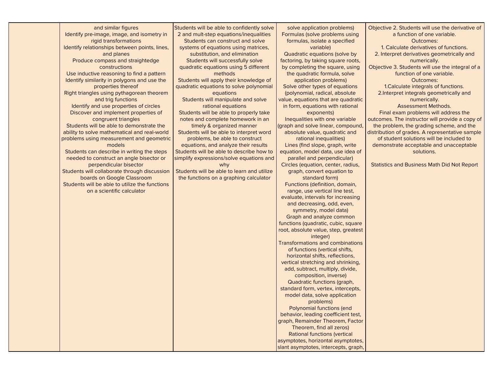and similar figures Identify pre-image, image, and isometry in rigid transformations Identify relationships between points, lines, and planes Produce compass and straightedge constructions Use inductive reasoning to find a pattern Identify similarity in polygons and use the properties thereof Right triangles using pythagorean theorem and trig functions Identify and use properties of circles Discover and implement properties of congruent triangles Students will be able to demonstrate the ability to solve mathematical and real-world problems using measurement and geometric models Students can describe in writing the steps needed to construct an angle bisector or perpendicular bisector Students will collaborate through discussion boards on Google Classroom Students will be able to utilize the functions on a scientific calculator

Students will be able to confidently solve 2 and mult-step equations/inequalities Students can construct and solve systems of equations using matrices, substitution, and elimination Students will successfully solve quadratic equations using 5 different methods Students will apply their knowledge of quadratic equations to solve polynomial equations Students will manipulate and solve rational equations Students will be able to properly take notes and complete homework in an timely & organized manner Students will be able to interpret word problems, be able to construct equations, and analyze their results Students will be able to describe how to simplify expressions/solve equations and why Students will be able to learn and utilize the functions on a graphing calculator

solve application problems) Formulas (solve problems using formulas, isolate a specified variable) Quadratic equations (solve by factoring, by taking square roots, by completing the square, using the quadratic formula, solve application problems) Solve other types of equations (polynomial, radical, absolute value, equations that are quadratic in form, equations with rational exponents) Inequalities with one variable (graph and solve linear, compound, absolute value, quadratic and rational inequalities) Lines (find slope, graph, write equation, model data, use idea of parallel and perpendicular) Circles (equation, center, radius, graph, convert equation to standard form) Functions (definition, domain, range, use vertical line test, evaluate, intervals for increasing and decreasing, odd, even, symmetry, model data) Graph and analyze common functions (quadratic, cubic, square root, absolute value, step, greatest integer) Transformations and combinations of functions (vertical shifts, horizontal shifts, reflections, vertical stretching and shrinking, add, subtract, multiply, divide, composition, inverse) Quadratic functions (graph, standard form, vertex, intercepts, model data, solve application problems) Polynomial functions (end behavior, leading coefficient test, graph, Remainder Theorem, Factor Theorem, find all zeros) Rational functions (vertical asymptotes, horizontal asymptotes, slant asymptotes, intercepts, graph,

Objective 2. Students will use the derivative of a function of one variable. Outcomes: 1. Calculate derivatives of functions. 2. Interpret derivatives geometrically and numerically. Objective 3. Students will use the integral of a function of one variable. Outcomes: 1.Calculate integrals of functions. 2.Interpret integrals geometrically and numerically. Assessment Methods. Final exam problems will address the outcomes. The instructor will provide a copy of the problem, the grading scheme, and the distribution of grades. A representative sample of student solutions will be included to demonstrate acceptable and unacceptable solutions.

Statistics and Business Math Did Not Report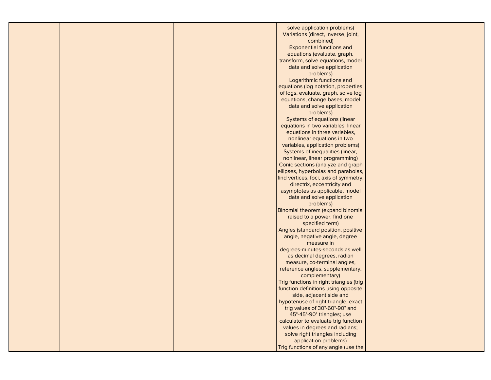|  | solve application problems)                                          |  |
|--|----------------------------------------------------------------------|--|
|  | Variations (direct, inverse, joint,                                  |  |
|  | combined)                                                            |  |
|  | <b>Exponential functions and</b>                                     |  |
|  | equations (evaluate, graph,                                          |  |
|  | transform, solve equations, model                                    |  |
|  | data and solve application                                           |  |
|  | problems)                                                            |  |
|  | Logarithmic functions and                                            |  |
|  | equations (log notation, properties                                  |  |
|  | of logs, evaluate, graph, solve log                                  |  |
|  | equations, change bases, model                                       |  |
|  |                                                                      |  |
|  | data and solve application                                           |  |
|  | problems)<br>Systems of equations (linear                            |  |
|  |                                                                      |  |
|  | equations in two variables, linear<br>equations in three variables,  |  |
|  | nonlinear equations in two                                           |  |
|  |                                                                      |  |
|  | variables, application problems)<br>Systems of inequalities (linear, |  |
|  | nonlinear, linear programming)                                       |  |
|  | Conic sections (analyze and graph                                    |  |
|  | ellipses, hyperbolas and parabolas,                                  |  |
|  | find vertices, foci, axis of symmetry,                               |  |
|  | directrix, eccentricity and                                          |  |
|  | asymptotes as applicable, model                                      |  |
|  | data and solve application                                           |  |
|  | problems)                                                            |  |
|  | Binomial theorem (expand binomial                                    |  |
|  | raised to a power, find one                                          |  |
|  | specified term)                                                      |  |
|  | Angles (standard position, positive                                  |  |
|  | angle, negative angle, degree                                        |  |
|  | measure in                                                           |  |
|  | degrees-minutes-seconds as well                                      |  |
|  | as decimal degrees, radian                                           |  |
|  | measure, co-terminal angles,                                         |  |
|  | reference angles, supplementary,                                     |  |
|  | complementary)                                                       |  |
|  | Trig functions in right triangles (trig                              |  |
|  | function definitions using opposite                                  |  |
|  | side, adjacent side and                                              |  |
|  | hypotenuse of right triangle; exact                                  |  |
|  | trig values of 30°-60°-90° and                                       |  |
|  | 45°-45°-90° triangles; use                                           |  |
|  | calculator to evaluate trig function                                 |  |
|  | values in degrees and radians;                                       |  |
|  | solve right triangles including                                      |  |
|  | application problems)                                                |  |
|  | Trig functions of any angle (use the                                 |  |
|  |                                                                      |  |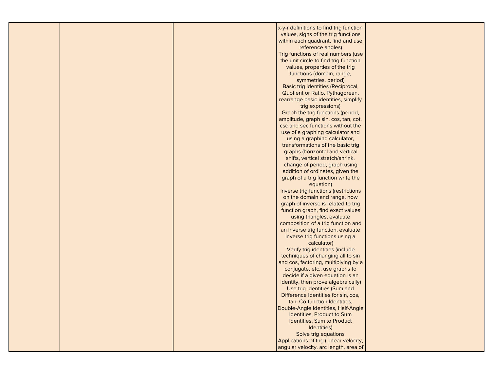| x-y-r definitions to find trig function<br>values, signs of the trig functions<br>within each quadrant, find and use<br>reference angles)<br>Trig functions of real numbers (use<br>the unit circle to find trig function<br>values, properties of the trig<br>functions (domain, range,<br>symmetries, period)<br>Basic trig identities (Reciprocal,<br>Quotient or Ratio, Pythagorean,<br>rearrange basic identities, simplify<br>trig expressions)<br>Graph the trig functions (period,<br>amplitude, graph sin, cos, tan, cot,<br>csc and sec functions without the<br>use of a graphing calculator and<br>using a graphing calculator,<br>transformations of the basic trig<br>graphs (horizontal and vertical<br>shifts, vertical stretch/shrink,<br>change of period, graph using<br>addition of ordinates, given the<br>graph of a trig function write the<br>equation)<br>Inverse trig functions (restrictions<br>on the domain and range, how<br>graph of inverse is related to trig<br>function graph, find exact values<br>using triangles, evaluate<br>composition of a trig function and<br>an inverse trig function, evaluate<br>inverse trig functions using a<br>calculator)<br>Verify trig identities (include<br>techniques of changing all to sin<br>and cos, factoring, multiplying by a<br>conjugate, etc., use graphs to<br>decide if a given equation is an<br>identity, then prove algebraically)<br>Use trig identities (Sum and<br>Difference Identities for sin, cos,<br>tan, Co-function Identities,<br>Double-Angle Identities, Half-Angle<br>Identities, Product to Sum<br>Identities, Sum to Product<br>Identities)<br>Solve trig equations<br>Applications of trig (Linear velocity,<br>angular velocity, arc length, area of |  |  |  |
|----------------------------------------------------------------------------------------------------------------------------------------------------------------------------------------------------------------------------------------------------------------------------------------------------------------------------------------------------------------------------------------------------------------------------------------------------------------------------------------------------------------------------------------------------------------------------------------------------------------------------------------------------------------------------------------------------------------------------------------------------------------------------------------------------------------------------------------------------------------------------------------------------------------------------------------------------------------------------------------------------------------------------------------------------------------------------------------------------------------------------------------------------------------------------------------------------------------------------------------------------------------------------------------------------------------------------------------------------------------------------------------------------------------------------------------------------------------------------------------------------------------------------------------------------------------------------------------------------------------------------------------------------------------------------------------------------------------------------------------------------------------|--|--|--|
|                                                                                                                                                                                                                                                                                                                                                                                                                                                                                                                                                                                                                                                                                                                                                                                                                                                                                                                                                                                                                                                                                                                                                                                                                                                                                                                                                                                                                                                                                                                                                                                                                                                                                                                                                                |  |  |  |
|                                                                                                                                                                                                                                                                                                                                                                                                                                                                                                                                                                                                                                                                                                                                                                                                                                                                                                                                                                                                                                                                                                                                                                                                                                                                                                                                                                                                                                                                                                                                                                                                                                                                                                                                                                |  |  |  |
|                                                                                                                                                                                                                                                                                                                                                                                                                                                                                                                                                                                                                                                                                                                                                                                                                                                                                                                                                                                                                                                                                                                                                                                                                                                                                                                                                                                                                                                                                                                                                                                                                                                                                                                                                                |  |  |  |
|                                                                                                                                                                                                                                                                                                                                                                                                                                                                                                                                                                                                                                                                                                                                                                                                                                                                                                                                                                                                                                                                                                                                                                                                                                                                                                                                                                                                                                                                                                                                                                                                                                                                                                                                                                |  |  |  |
|                                                                                                                                                                                                                                                                                                                                                                                                                                                                                                                                                                                                                                                                                                                                                                                                                                                                                                                                                                                                                                                                                                                                                                                                                                                                                                                                                                                                                                                                                                                                                                                                                                                                                                                                                                |  |  |  |
|                                                                                                                                                                                                                                                                                                                                                                                                                                                                                                                                                                                                                                                                                                                                                                                                                                                                                                                                                                                                                                                                                                                                                                                                                                                                                                                                                                                                                                                                                                                                                                                                                                                                                                                                                                |  |  |  |
|                                                                                                                                                                                                                                                                                                                                                                                                                                                                                                                                                                                                                                                                                                                                                                                                                                                                                                                                                                                                                                                                                                                                                                                                                                                                                                                                                                                                                                                                                                                                                                                                                                                                                                                                                                |  |  |  |
|                                                                                                                                                                                                                                                                                                                                                                                                                                                                                                                                                                                                                                                                                                                                                                                                                                                                                                                                                                                                                                                                                                                                                                                                                                                                                                                                                                                                                                                                                                                                                                                                                                                                                                                                                                |  |  |  |
|                                                                                                                                                                                                                                                                                                                                                                                                                                                                                                                                                                                                                                                                                                                                                                                                                                                                                                                                                                                                                                                                                                                                                                                                                                                                                                                                                                                                                                                                                                                                                                                                                                                                                                                                                                |  |  |  |
|                                                                                                                                                                                                                                                                                                                                                                                                                                                                                                                                                                                                                                                                                                                                                                                                                                                                                                                                                                                                                                                                                                                                                                                                                                                                                                                                                                                                                                                                                                                                                                                                                                                                                                                                                                |  |  |  |
|                                                                                                                                                                                                                                                                                                                                                                                                                                                                                                                                                                                                                                                                                                                                                                                                                                                                                                                                                                                                                                                                                                                                                                                                                                                                                                                                                                                                                                                                                                                                                                                                                                                                                                                                                                |  |  |  |
|                                                                                                                                                                                                                                                                                                                                                                                                                                                                                                                                                                                                                                                                                                                                                                                                                                                                                                                                                                                                                                                                                                                                                                                                                                                                                                                                                                                                                                                                                                                                                                                                                                                                                                                                                                |  |  |  |
|                                                                                                                                                                                                                                                                                                                                                                                                                                                                                                                                                                                                                                                                                                                                                                                                                                                                                                                                                                                                                                                                                                                                                                                                                                                                                                                                                                                                                                                                                                                                                                                                                                                                                                                                                                |  |  |  |
|                                                                                                                                                                                                                                                                                                                                                                                                                                                                                                                                                                                                                                                                                                                                                                                                                                                                                                                                                                                                                                                                                                                                                                                                                                                                                                                                                                                                                                                                                                                                                                                                                                                                                                                                                                |  |  |  |
|                                                                                                                                                                                                                                                                                                                                                                                                                                                                                                                                                                                                                                                                                                                                                                                                                                                                                                                                                                                                                                                                                                                                                                                                                                                                                                                                                                                                                                                                                                                                                                                                                                                                                                                                                                |  |  |  |
|                                                                                                                                                                                                                                                                                                                                                                                                                                                                                                                                                                                                                                                                                                                                                                                                                                                                                                                                                                                                                                                                                                                                                                                                                                                                                                                                                                                                                                                                                                                                                                                                                                                                                                                                                                |  |  |  |
|                                                                                                                                                                                                                                                                                                                                                                                                                                                                                                                                                                                                                                                                                                                                                                                                                                                                                                                                                                                                                                                                                                                                                                                                                                                                                                                                                                                                                                                                                                                                                                                                                                                                                                                                                                |  |  |  |
|                                                                                                                                                                                                                                                                                                                                                                                                                                                                                                                                                                                                                                                                                                                                                                                                                                                                                                                                                                                                                                                                                                                                                                                                                                                                                                                                                                                                                                                                                                                                                                                                                                                                                                                                                                |  |  |  |
|                                                                                                                                                                                                                                                                                                                                                                                                                                                                                                                                                                                                                                                                                                                                                                                                                                                                                                                                                                                                                                                                                                                                                                                                                                                                                                                                                                                                                                                                                                                                                                                                                                                                                                                                                                |  |  |  |
|                                                                                                                                                                                                                                                                                                                                                                                                                                                                                                                                                                                                                                                                                                                                                                                                                                                                                                                                                                                                                                                                                                                                                                                                                                                                                                                                                                                                                                                                                                                                                                                                                                                                                                                                                                |  |  |  |
|                                                                                                                                                                                                                                                                                                                                                                                                                                                                                                                                                                                                                                                                                                                                                                                                                                                                                                                                                                                                                                                                                                                                                                                                                                                                                                                                                                                                                                                                                                                                                                                                                                                                                                                                                                |  |  |  |
|                                                                                                                                                                                                                                                                                                                                                                                                                                                                                                                                                                                                                                                                                                                                                                                                                                                                                                                                                                                                                                                                                                                                                                                                                                                                                                                                                                                                                                                                                                                                                                                                                                                                                                                                                                |  |  |  |
|                                                                                                                                                                                                                                                                                                                                                                                                                                                                                                                                                                                                                                                                                                                                                                                                                                                                                                                                                                                                                                                                                                                                                                                                                                                                                                                                                                                                                                                                                                                                                                                                                                                                                                                                                                |  |  |  |
|                                                                                                                                                                                                                                                                                                                                                                                                                                                                                                                                                                                                                                                                                                                                                                                                                                                                                                                                                                                                                                                                                                                                                                                                                                                                                                                                                                                                                                                                                                                                                                                                                                                                                                                                                                |  |  |  |
|                                                                                                                                                                                                                                                                                                                                                                                                                                                                                                                                                                                                                                                                                                                                                                                                                                                                                                                                                                                                                                                                                                                                                                                                                                                                                                                                                                                                                                                                                                                                                                                                                                                                                                                                                                |  |  |  |
|                                                                                                                                                                                                                                                                                                                                                                                                                                                                                                                                                                                                                                                                                                                                                                                                                                                                                                                                                                                                                                                                                                                                                                                                                                                                                                                                                                                                                                                                                                                                                                                                                                                                                                                                                                |  |  |  |
|                                                                                                                                                                                                                                                                                                                                                                                                                                                                                                                                                                                                                                                                                                                                                                                                                                                                                                                                                                                                                                                                                                                                                                                                                                                                                                                                                                                                                                                                                                                                                                                                                                                                                                                                                                |  |  |  |
|                                                                                                                                                                                                                                                                                                                                                                                                                                                                                                                                                                                                                                                                                                                                                                                                                                                                                                                                                                                                                                                                                                                                                                                                                                                                                                                                                                                                                                                                                                                                                                                                                                                                                                                                                                |  |  |  |
|                                                                                                                                                                                                                                                                                                                                                                                                                                                                                                                                                                                                                                                                                                                                                                                                                                                                                                                                                                                                                                                                                                                                                                                                                                                                                                                                                                                                                                                                                                                                                                                                                                                                                                                                                                |  |  |  |
|                                                                                                                                                                                                                                                                                                                                                                                                                                                                                                                                                                                                                                                                                                                                                                                                                                                                                                                                                                                                                                                                                                                                                                                                                                                                                                                                                                                                                                                                                                                                                                                                                                                                                                                                                                |  |  |  |
|                                                                                                                                                                                                                                                                                                                                                                                                                                                                                                                                                                                                                                                                                                                                                                                                                                                                                                                                                                                                                                                                                                                                                                                                                                                                                                                                                                                                                                                                                                                                                                                                                                                                                                                                                                |  |  |  |
|                                                                                                                                                                                                                                                                                                                                                                                                                                                                                                                                                                                                                                                                                                                                                                                                                                                                                                                                                                                                                                                                                                                                                                                                                                                                                                                                                                                                                                                                                                                                                                                                                                                                                                                                                                |  |  |  |
|                                                                                                                                                                                                                                                                                                                                                                                                                                                                                                                                                                                                                                                                                                                                                                                                                                                                                                                                                                                                                                                                                                                                                                                                                                                                                                                                                                                                                                                                                                                                                                                                                                                                                                                                                                |  |  |  |
|                                                                                                                                                                                                                                                                                                                                                                                                                                                                                                                                                                                                                                                                                                                                                                                                                                                                                                                                                                                                                                                                                                                                                                                                                                                                                                                                                                                                                                                                                                                                                                                                                                                                                                                                                                |  |  |  |
|                                                                                                                                                                                                                                                                                                                                                                                                                                                                                                                                                                                                                                                                                                                                                                                                                                                                                                                                                                                                                                                                                                                                                                                                                                                                                                                                                                                                                                                                                                                                                                                                                                                                                                                                                                |  |  |  |
|                                                                                                                                                                                                                                                                                                                                                                                                                                                                                                                                                                                                                                                                                                                                                                                                                                                                                                                                                                                                                                                                                                                                                                                                                                                                                                                                                                                                                                                                                                                                                                                                                                                                                                                                                                |  |  |  |
|                                                                                                                                                                                                                                                                                                                                                                                                                                                                                                                                                                                                                                                                                                                                                                                                                                                                                                                                                                                                                                                                                                                                                                                                                                                                                                                                                                                                                                                                                                                                                                                                                                                                                                                                                                |  |  |  |
|                                                                                                                                                                                                                                                                                                                                                                                                                                                                                                                                                                                                                                                                                                                                                                                                                                                                                                                                                                                                                                                                                                                                                                                                                                                                                                                                                                                                                                                                                                                                                                                                                                                                                                                                                                |  |  |  |
|                                                                                                                                                                                                                                                                                                                                                                                                                                                                                                                                                                                                                                                                                                                                                                                                                                                                                                                                                                                                                                                                                                                                                                                                                                                                                                                                                                                                                                                                                                                                                                                                                                                                                                                                                                |  |  |  |
|                                                                                                                                                                                                                                                                                                                                                                                                                                                                                                                                                                                                                                                                                                                                                                                                                                                                                                                                                                                                                                                                                                                                                                                                                                                                                                                                                                                                                                                                                                                                                                                                                                                                                                                                                                |  |  |  |
|                                                                                                                                                                                                                                                                                                                                                                                                                                                                                                                                                                                                                                                                                                                                                                                                                                                                                                                                                                                                                                                                                                                                                                                                                                                                                                                                                                                                                                                                                                                                                                                                                                                                                                                                                                |  |  |  |
|                                                                                                                                                                                                                                                                                                                                                                                                                                                                                                                                                                                                                                                                                                                                                                                                                                                                                                                                                                                                                                                                                                                                                                                                                                                                                                                                                                                                                                                                                                                                                                                                                                                                                                                                                                |  |  |  |
|                                                                                                                                                                                                                                                                                                                                                                                                                                                                                                                                                                                                                                                                                                                                                                                                                                                                                                                                                                                                                                                                                                                                                                                                                                                                                                                                                                                                                                                                                                                                                                                                                                                                                                                                                                |  |  |  |
|                                                                                                                                                                                                                                                                                                                                                                                                                                                                                                                                                                                                                                                                                                                                                                                                                                                                                                                                                                                                                                                                                                                                                                                                                                                                                                                                                                                                                                                                                                                                                                                                                                                                                                                                                                |  |  |  |
|                                                                                                                                                                                                                                                                                                                                                                                                                                                                                                                                                                                                                                                                                                                                                                                                                                                                                                                                                                                                                                                                                                                                                                                                                                                                                                                                                                                                                                                                                                                                                                                                                                                                                                                                                                |  |  |  |
|                                                                                                                                                                                                                                                                                                                                                                                                                                                                                                                                                                                                                                                                                                                                                                                                                                                                                                                                                                                                                                                                                                                                                                                                                                                                                                                                                                                                                                                                                                                                                                                                                                                                                                                                                                |  |  |  |
|                                                                                                                                                                                                                                                                                                                                                                                                                                                                                                                                                                                                                                                                                                                                                                                                                                                                                                                                                                                                                                                                                                                                                                                                                                                                                                                                                                                                                                                                                                                                                                                                                                                                                                                                                                |  |  |  |
|                                                                                                                                                                                                                                                                                                                                                                                                                                                                                                                                                                                                                                                                                                                                                                                                                                                                                                                                                                                                                                                                                                                                                                                                                                                                                                                                                                                                                                                                                                                                                                                                                                                                                                                                                                |  |  |  |
|                                                                                                                                                                                                                                                                                                                                                                                                                                                                                                                                                                                                                                                                                                                                                                                                                                                                                                                                                                                                                                                                                                                                                                                                                                                                                                                                                                                                                                                                                                                                                                                                                                                                                                                                                                |  |  |  |
|                                                                                                                                                                                                                                                                                                                                                                                                                                                                                                                                                                                                                                                                                                                                                                                                                                                                                                                                                                                                                                                                                                                                                                                                                                                                                                                                                                                                                                                                                                                                                                                                                                                                                                                                                                |  |  |  |
|                                                                                                                                                                                                                                                                                                                                                                                                                                                                                                                                                                                                                                                                                                                                                                                                                                                                                                                                                                                                                                                                                                                                                                                                                                                                                                                                                                                                                                                                                                                                                                                                                                                                                                                                                                |  |  |  |
|                                                                                                                                                                                                                                                                                                                                                                                                                                                                                                                                                                                                                                                                                                                                                                                                                                                                                                                                                                                                                                                                                                                                                                                                                                                                                                                                                                                                                                                                                                                                                                                                                                                                                                                                                                |  |  |  |
|                                                                                                                                                                                                                                                                                                                                                                                                                                                                                                                                                                                                                                                                                                                                                                                                                                                                                                                                                                                                                                                                                                                                                                                                                                                                                                                                                                                                                                                                                                                                                                                                                                                                                                                                                                |  |  |  |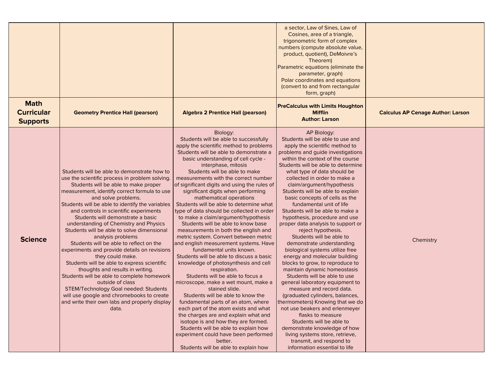|                                                     |                                                                                                                                                                                                                                                                                                                                                                                                                                                                                                                                                                                                                                                                                                                                                                                                                                                                                |                                                                                                                                                                                                                                                                                                                                                                                                                                                                                                                                                                                                                                                                                                                                                                                                                                                                                                                                                                                                                                                                                                                                                                                                                                                                    | a sector, Law of Sines, Law of<br>Cosines, area of a triangle,<br>trigonometric form of complex<br>numbers (compute absolute value,<br>product, quotient), DeMoivre's<br>Theorem)<br>Parametric equations (eliminate the<br>parameter, graph)<br>Polar coordinates and equations<br>(convert to and from rectangular<br>form, graph)                                                                                                                                                                                                                                                                                                                                                                                                                                                                                                                                                                                                                                                                                                                                                                                    |                                          |
|-----------------------------------------------------|--------------------------------------------------------------------------------------------------------------------------------------------------------------------------------------------------------------------------------------------------------------------------------------------------------------------------------------------------------------------------------------------------------------------------------------------------------------------------------------------------------------------------------------------------------------------------------------------------------------------------------------------------------------------------------------------------------------------------------------------------------------------------------------------------------------------------------------------------------------------------------|--------------------------------------------------------------------------------------------------------------------------------------------------------------------------------------------------------------------------------------------------------------------------------------------------------------------------------------------------------------------------------------------------------------------------------------------------------------------------------------------------------------------------------------------------------------------------------------------------------------------------------------------------------------------------------------------------------------------------------------------------------------------------------------------------------------------------------------------------------------------------------------------------------------------------------------------------------------------------------------------------------------------------------------------------------------------------------------------------------------------------------------------------------------------------------------------------------------------------------------------------------------------|-------------------------------------------------------------------------------------------------------------------------------------------------------------------------------------------------------------------------------------------------------------------------------------------------------------------------------------------------------------------------------------------------------------------------------------------------------------------------------------------------------------------------------------------------------------------------------------------------------------------------------------------------------------------------------------------------------------------------------------------------------------------------------------------------------------------------------------------------------------------------------------------------------------------------------------------------------------------------------------------------------------------------------------------------------------------------------------------------------------------------|------------------------------------------|
| <b>Math</b><br><b>Curricular</b><br><b>Supports</b> | <b>Geometry Prentice Hall (pearson)</b>                                                                                                                                                                                                                                                                                                                                                                                                                                                                                                                                                                                                                                                                                                                                                                                                                                        | <b>Algebra 2 Prentice Hall (pearson)</b>                                                                                                                                                                                                                                                                                                                                                                                                                                                                                                                                                                                                                                                                                                                                                                                                                                                                                                                                                                                                                                                                                                                                                                                                                           | <b>PreCalculus with Limits Houghton</b><br><b>Mifflin</b><br><b>Author: Larson</b>                                                                                                                                                                                                                                                                                                                                                                                                                                                                                                                                                                                                                                                                                                                                                                                                                                                                                                                                                                                                                                      | <b>Calculus AP Cenage Author: Larson</b> |
| <b>Science</b>                                      | Students will be able to demonstrate how to<br>use the scientific process in problem solving<br>Students will be able to make proper<br>measurement, identify correct formula to use<br>and solve problems.<br>Students will be able to identify the variables<br>and controls in scientific experiments<br>Students will demonstrate a basic<br>understanding of Chemistry and Physics<br>Students will be able to solve dimensional<br>analysis problems<br>Students will be able to reflect on the<br>experiments and provide details on revisions<br>they could make.<br>Students will be able to express scientific<br>thoughts and results in writing.<br>Students will be able to complete homework<br>outside of class<br>STEM/Technology Goal needed: Students<br>will use google and chromebooks to create<br>and write their own labs and properly display<br>data. | Biology:<br>Students will be able to successfully<br>apply the scientific method to problems<br>Students will be able to demonstrate a<br>basic understanding of cell cycle -<br>interphase, mitosis<br>Students will be able to make<br>measurements with the correct number<br>of significant digits and using the rules of<br>significant digits when performing<br>mathematical operations<br>Students will be able to determine what<br>type of data should be collected in order<br>to make a claim/argument/hypothesis<br>Students will be able to know base<br>measurements in both the english and<br>metric system. Convert between metric<br>and english measurement systems. Have<br>fundamental units known.<br>Students will be able to discuss a basic<br>knowledge of photosynthesis and cell<br>respiration.<br>Students will be able to focus a<br>microscope, make a wet mount, make a<br>stained slide.<br>Students will be able to know the<br>fundamental parts of an atom, where<br>each part of the atom exists and what<br>the charges are and explain what and<br>isotope is and how they are formed.<br>Students will be able to explain how<br>experiment could have been performed<br>better.<br>Students will be able to explain how | AP Biology:<br>Students will be able to use and<br>apply the scientific method to<br>problems and guide investigations<br>within the context of the course<br>Students will be able to determine<br>what type of data should be<br>collected in order to make a<br>claim/argument/hypothesis<br>Students will be able to explain<br>basic concepts of cells as the<br>fundamental unit of life<br>Students will be able to make a<br>hypothesis, procedure and use<br>proper data analysis to support or<br>reject hypothesis.<br>Students will be able to<br>demonstrate understanding<br>biological systems utilize free<br>energy and molecular building<br>blocks to grow, to reproduce to<br>maintain dynamic homeostasis<br>Students will be able to use<br>general laboratory equipment to<br>measure and record data.<br>(graduated cylinders, balances,<br>thermometers) Knowing that we do<br>not use beakers and erlenmeyer<br>flasks to measure<br>Students will be able to<br>demonstrate knowledge of how<br>living systems store, retrieve,<br>transmit, and respond to<br>information essential to life | Chemistry                                |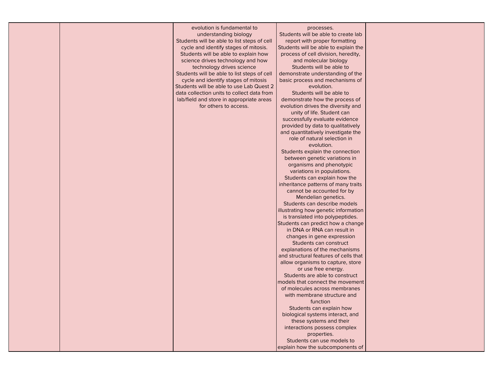|  | evolution is fundamental to                 | processes.                                                            |  |
|--|---------------------------------------------|-----------------------------------------------------------------------|--|
|  | understanding biology                       | Students will be able to create lab                                   |  |
|  | Students will be able to list steps of cell | report with proper formatting                                         |  |
|  | cycle and identify stages of mitosis.       | Students will be able to explain the                                  |  |
|  | Students will be able to explain how        | process of cell division, heredity,                                   |  |
|  | science drives technology and how           | and molecular biology                                                 |  |
|  | technology drives science                   | Students will be able to                                              |  |
|  | Students will be able to list steps of cell | demonstrate understanding of the                                      |  |
|  | cycle and identify stages of mitosis        | basic process and mechanisms of                                       |  |
|  | Students will be able to use Lab Quest 2    | evolution.                                                            |  |
|  | data collection units to collect data from  | Students will be able to                                              |  |
|  | lab/field and store in appropriate areas    | demonstrate how the process of                                        |  |
|  | for others to access.                       | evolution drives the diversity and                                    |  |
|  |                                             | unity of life. Student can                                            |  |
|  |                                             | successfully evaluate evidence                                        |  |
|  |                                             | provided by data to qualitatively                                     |  |
|  |                                             | and quantitatively investigate the                                    |  |
|  |                                             | role of natural selection in                                          |  |
|  |                                             | evolution.                                                            |  |
|  |                                             | Students explain the connection                                       |  |
|  |                                             | between genetic variations in                                         |  |
|  |                                             | organisms and phenotypic                                              |  |
|  |                                             | variations in populations.                                            |  |
|  |                                             | Students can explain how the                                          |  |
|  |                                             | inheritance patterns of many traits                                   |  |
|  |                                             | cannot be accounted for by                                            |  |
|  |                                             | Mendelian genetics.                                                   |  |
|  |                                             | Students can describe models                                          |  |
|  |                                             | illustrating how genetic information                                  |  |
|  |                                             |                                                                       |  |
|  |                                             | is translated into polypeptides.<br>Students can predict how a change |  |
|  |                                             |                                                                       |  |
|  |                                             | in DNA or RNA can result in                                           |  |
|  |                                             | changes in gene expression                                            |  |
|  |                                             | Students can construct                                                |  |
|  |                                             | explanations of the mechanisms                                        |  |
|  |                                             | and structural features of cells that                                 |  |
|  |                                             | allow organisms to capture, store                                     |  |
|  |                                             | or use free energy.                                                   |  |
|  |                                             | Students are able to construct                                        |  |
|  |                                             | models that connect the movement                                      |  |
|  |                                             | of molecules across membranes                                         |  |
|  |                                             | with membrane structure and                                           |  |
|  |                                             | function                                                              |  |
|  |                                             | Students can explain how                                              |  |
|  |                                             | biological systems interact, and                                      |  |
|  |                                             | these systems and their                                               |  |
|  |                                             | interactions possess complex                                          |  |
|  |                                             | properties.                                                           |  |
|  |                                             | Students can use models to                                            |  |
|  |                                             | explain how the subcomponents of                                      |  |
|  |                                             |                                                                       |  |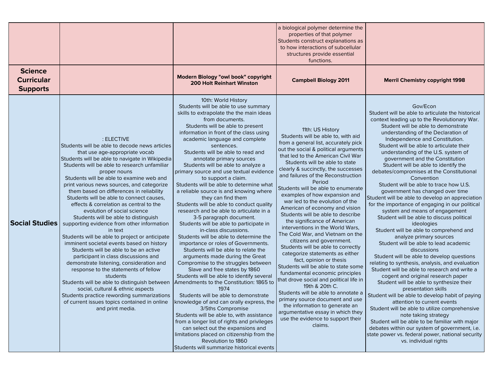|                                                        |                                                                                                                                                                                                                                                                                                                                                                                                                                                                                                                                                                                                                                                                                                                                                                                                                                                                                                                                                                                                                                                                     |                                                                                                                                                                                                                                                                                                                                                                                                                                                                                                                                                                                                                                                                                                                                                                                                                                                                                                                                                                                                                                                                                                                                                                                                                                                                                                                                                                                                                                   | a biological polymer determine the<br>properties of that polymer<br>Students construct explanations as<br>to how interactions of subcellular<br>structures provide essential<br>functions.                                                                                                                                                                                                                                                                                                                                                                                                                                                                                                                                                                                                                                                                                                                                                                                                                                                                             |                                                                                                                                                                                                                                                                                                                                                                                                                                                                                                                                                                                                                                                                                                                                                                                                                                                                                                                                                                                                                                                                                                                                                                                                                                                                                                                                                                                                                                                                          |
|--------------------------------------------------------|---------------------------------------------------------------------------------------------------------------------------------------------------------------------------------------------------------------------------------------------------------------------------------------------------------------------------------------------------------------------------------------------------------------------------------------------------------------------------------------------------------------------------------------------------------------------------------------------------------------------------------------------------------------------------------------------------------------------------------------------------------------------------------------------------------------------------------------------------------------------------------------------------------------------------------------------------------------------------------------------------------------------------------------------------------------------|-----------------------------------------------------------------------------------------------------------------------------------------------------------------------------------------------------------------------------------------------------------------------------------------------------------------------------------------------------------------------------------------------------------------------------------------------------------------------------------------------------------------------------------------------------------------------------------------------------------------------------------------------------------------------------------------------------------------------------------------------------------------------------------------------------------------------------------------------------------------------------------------------------------------------------------------------------------------------------------------------------------------------------------------------------------------------------------------------------------------------------------------------------------------------------------------------------------------------------------------------------------------------------------------------------------------------------------------------------------------------------------------------------------------------------------|------------------------------------------------------------------------------------------------------------------------------------------------------------------------------------------------------------------------------------------------------------------------------------------------------------------------------------------------------------------------------------------------------------------------------------------------------------------------------------------------------------------------------------------------------------------------------------------------------------------------------------------------------------------------------------------------------------------------------------------------------------------------------------------------------------------------------------------------------------------------------------------------------------------------------------------------------------------------------------------------------------------------------------------------------------------------|--------------------------------------------------------------------------------------------------------------------------------------------------------------------------------------------------------------------------------------------------------------------------------------------------------------------------------------------------------------------------------------------------------------------------------------------------------------------------------------------------------------------------------------------------------------------------------------------------------------------------------------------------------------------------------------------------------------------------------------------------------------------------------------------------------------------------------------------------------------------------------------------------------------------------------------------------------------------------------------------------------------------------------------------------------------------------------------------------------------------------------------------------------------------------------------------------------------------------------------------------------------------------------------------------------------------------------------------------------------------------------------------------------------------------------------------------------------------------|
| <b>Science</b><br><b>Curricular</b><br><b>Supports</b> |                                                                                                                                                                                                                                                                                                                                                                                                                                                                                                                                                                                                                                                                                                                                                                                                                                                                                                                                                                                                                                                                     | Modern Biology "owl book" copyright<br><b>200 Holt Reinhart Winston</b>                                                                                                                                                                                                                                                                                                                                                                                                                                                                                                                                                                                                                                                                                                                                                                                                                                                                                                                                                                                                                                                                                                                                                                                                                                                                                                                                                           | <b>Campbell Biology 2011</b>                                                                                                                                                                                                                                                                                                                                                                                                                                                                                                                                                                                                                                                                                                                                                                                                                                                                                                                                                                                                                                           | <b>Merril Chemistry copyright 1998</b>                                                                                                                                                                                                                                                                                                                                                                                                                                                                                                                                                                                                                                                                                                                                                                                                                                                                                                                                                                                                                                                                                                                                                                                                                                                                                                                                                                                                                                   |
| <b>Social Studies</b>                                  | : ELECTIVE<br>Students will be able to decode news articles<br>that use age-appropriate vocab<br>Students will be able to navigate in Wikipedia<br>Students will be able to research unfamiliar<br>proper nouns<br>Students will be able to examine web and<br>print various news sources, and categorize<br>them based on differences in reliability<br>Students will be able to connect causes,<br>effects & correlation as central to the<br>evolution of social science<br>Students will be able to distinguish<br>supporting evidence from other information<br>in text<br>Students will be able to project or anticipate<br>imminent societal events based on history<br>Students will be able to be an active<br>participant in class discussions and<br>demonstrate listening, consideration and<br>response to the statements of fellow<br>students<br>Students will be able to distinguish between<br>social, cultural & ethnic aspects<br>Students practice rewording summarizations<br>of current issues topics contained in online<br>and print media. | 10th: World History<br>Students will be able to use summary<br>skills to extrapolate the the main ideas<br>from documents.<br>Students will be able to present<br>information in front of the class using<br>academic language and complete<br>sentences.<br>Students will be able to read and<br>annotate primary sources<br>Students will be able to analyze a<br>primary source and use textual evidence<br>to support a claim.<br>Students will be able to determine what<br>a reliable source is and knowing where<br>they can find them<br>Students will be able to conduct quality<br>research and be able to articulate in a<br>3-5 paragraph document.<br>Students will be able to participate in<br>in-class discussions.<br>Students will be able to determine the<br>importance or roles of Governments.<br>Students will be able to relate the<br>arguments made during the Great<br>Compromise to the struggles between<br>Slave and free states by 1860<br>Students will be able to identify several<br>Amendments to the Constitution: 1865 to<br>1974<br>Students will be able to demonstrate<br>knowledge of and can orally express, the<br>3/5ths Compromise<br>Students will be able to, with assistance<br>from a longer list of rights and privileges<br>can select out the expansions and<br>limitations placed on citizenship from the<br>Revolution to 1860<br>Students will summarize historical events | 11th: US History<br>Students will be able to, with aid<br>from a general list, accurately pick<br>out the social & political arguments<br>that led to the American Civil War<br>Students will be able to state<br>clearly & succinctly, the successes<br>and failures of the Reconstruction<br>Period<br>Students will be able to enumerate<br>examples of how expansion and<br>war led to the evolution of the<br>American of economy and vision<br>Students will be able to describe<br>the significance of American<br>interventions in the World Wars,<br>The Cold War, and Vietnam on the<br>citizens and government.<br>Students will be able to correctly<br>categorize statements as either<br>fact, opinion or thesis<br>Students will be able to state some<br>fundamental economic principles<br>that drove social and political life in<br>19th & 20th C.<br>Students will be able to annotate a<br>primary source document and use<br>the information to generate an<br>argumentative essay in which they<br>use the evidence to support their<br>claims. | Gov/Econ<br>Student will be able to articulate the historical<br>context leading up to the Revolutionary War.<br>Student will be able to demonstrate<br>understanding of the Declaration of<br>Independence and Constitution.<br>Student will be able to articulate their<br>understanding of the U.S. system of<br>government and the Constitution<br>Student will be able to identify the<br>debates/compromises at the Constitutional<br>Convention<br>Student will be able to trace how U.S.<br>government has changed over time<br>Student will be able to develop an appreciation<br>for the importance of engaging in our political<br>system and means of engagement<br>Student will be able to discuss political<br>ideologies<br>Student will be able to comprehend and<br>analyze primary sources<br>Student will be able to lead academic<br>discussions<br>Student will be able to develop questions<br>relating to synthesis, analysis, and evaluation<br>Student will be able to research and write a<br>cogent and original research paper<br>Student will be able to synthesize their<br>presentation skills<br>Student will be able to develop habit of paying<br>attention to current events<br>Student will be able to utilize comprehensive<br>note taking strategy<br>Student will be able to be familiar with major<br>debates within our system of government, i.e.<br>state power vs. federal power, national security<br>vs. individual rights |